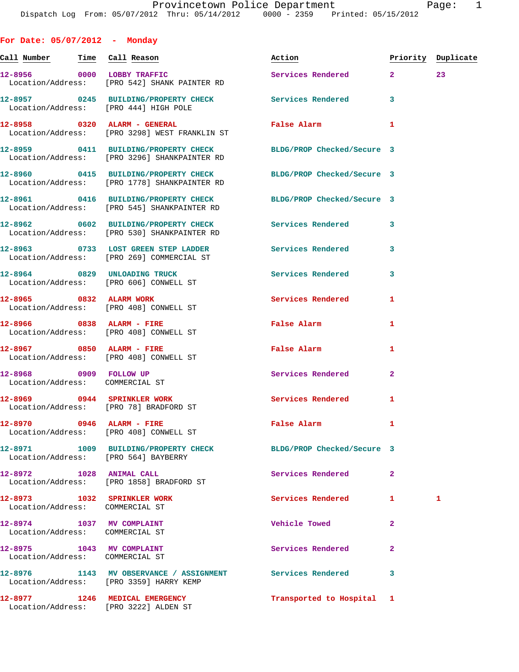| For Date: $05/07/2012$ - Monday                                         |                                                                                                                 |                           |                    |   |
|-------------------------------------------------------------------------|-----------------------------------------------------------------------------------------------------------------|---------------------------|--------------------|---|
|                                                                         | <u>Call Number — Time Call Reason</u>                                                                           | Action                    | Priority Duplicate |   |
|                                                                         | 12-8956 0000 LOBBY TRAFFIC<br>Location/Address: [PRO 542] SHANK PAINTER RD                                      | Services Rendered 2 23    |                    |   |
| Location/Address: [PRO 444] HIGH POLE                                   | 12-8957 0245 BUILDING/PROPERTY CHECK Services Rendered                                                          |                           | 3                  |   |
|                                                                         | 12-8958 0320 ALARM - GENERAL<br>Location/Address: [PRO 3298] WEST FRANKLIN ST                                   | <b>False Alarm</b>        | 1                  |   |
|                                                                         | 12-8959 0411 BUILDING/PROPERTY CHECK BLDG/PROP Checked/Secure 3<br>Location/Address: [PRO 3296] SHANKPAINTER RD |                           |                    |   |
|                                                                         | 12-8960 0415 BUILDING/PROPERTY CHECK BLDG/PROP Checked/Secure 3<br>Location/Address: [PRO 1778] SHANKPAINTER RD |                           |                    |   |
|                                                                         | 12-8961 0416 BUILDING/PROPERTY CHECK BLDG/PROP Checked/Secure 3<br>Location/Address: [PRO 545] SHANKPAINTER RD  |                           |                    |   |
|                                                                         | 12-8962 0602 BUILDING/PROPERTY CHECK Services Rendered 3<br>Location/Address: [PRO 530] SHANKPAINTER RD         |                           |                    |   |
|                                                                         | 12-8963 0733 LOST GREEN STEP LADDER Services Rendered<br>Location/Address: [PRO 269] COMMERCIAL ST              |                           | 3                  |   |
|                                                                         | 12-8964 0829 UNLOADING TRUCK<br>Location/Address: [PRO 606] CONWELL ST                                          | Services Rendered         | 3                  |   |
| 12-8965 0832 ALARM WORK                                                 | Location/Address: [PRO 408] CONWELL ST                                                                          | Services Rendered         | 1                  |   |
| 12-8966 0838 ALARM - FIRE                                               | Location/Address: [PRO 408] CONWELL ST                                                                          | False Alarm               | 1                  |   |
| 12-8967 0850 ALARM - FIRE<br>Location/Address: [PRO 408] CONWELL ST     |                                                                                                                 | False Alarm               | 1                  |   |
| 12-8968 0909 FOLLOW UP<br>Location/Address: COMMERCIAL ST               |                                                                                                                 | Services Rendered         | $\mathbf{2}$       |   |
| 12-8969 0944 SPRINKLER WORK<br>Location/Address: [PRO 78] BRADFORD ST   |                                                                                                                 | Services Rendered 1       |                    |   |
| 12-8970 0946 ALARM - FIRE                                               | Location/Address: [PRO 408] CONWELL ST                                                                          | False Alarm               | 1                  |   |
| Location/Address: [PRO 564] BAYBERRY                                    | 12-8971 1009 BUILDING/PROPERTY CHECK BLDG/PROP Checked/Secure 3                                                 |                           |                    |   |
| 12-8972 1028 ANIMAL CALL                                                | Location/Address: [PRO 1858] BRADFORD ST                                                                        | Services Rendered         | $\mathbf{2}$       |   |
| 12-8973 1032 SPRINKLER WORK<br>Location/Address: COMMERCIAL ST          |                                                                                                                 | Services Rendered         | 1                  | 1 |
| 12-8974 1037 MV COMPLAINT<br>Location/Address: COMMERCIAL ST            |                                                                                                                 | Vehicle Towed             | $\mathbf{2}$       |   |
| 12-8975 1043 MV COMPLAINT<br>Location/Address: COMMERCIAL ST            |                                                                                                                 | Services Rendered         | $\mathbf{2}$       |   |
| Location/Address: [PRO 3359] HARRY KEMP                                 | 12-8976 1143 MV OBSERVANCE / ASSIGNMENT Services Rendered                                                       |                           | 3                  |   |
| 12-8977 1246 MEDICAL EMERGENCY<br>Location/Address: [PRO 3222] ALDEN ST |                                                                                                                 | Transported to Hospital 1 |                    |   |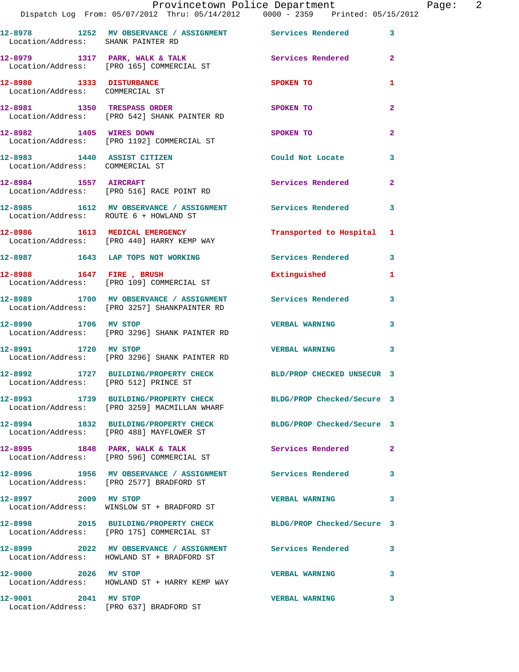|                                                                | Dispatch Log From: 05/07/2012 Thru: 05/14/2012 0000 - 2359 Printed: 05/15/2012                                  | Provincetown Police Department | Page: 2        |
|----------------------------------------------------------------|-----------------------------------------------------------------------------------------------------------------|--------------------------------|----------------|
| Location/Address: SHANK PAINTER RD                             | 12-8978 1252 MV OBSERVANCE / ASSIGNMENT Services Rendered 3                                                     |                                |                |
|                                                                | 12-8979 1317 PARK, WALK & TALK 1997 Services Rendered 2<br>Location/Address: [PRO 165] COMMERCIAL ST            |                                |                |
| 12-8980 1333 DISTURBANCE<br>Location/Address: COMMERCIAL ST    |                                                                                                                 | <b>SPOKEN TO</b>               | 1              |
|                                                                | 12-8981 1350 TRESPASS ORDER<br>Location/Address: [PRO 542] SHANK PAINTER RD                                     | SPOKEN TO                      | $\mathbf{2}$   |
|                                                                | 12-8982 1405 WIRES DOWN<br>Location/Address: [PRO 1192] COMMERCIAL ST                                           | SPOKEN TO                      | $\overline{2}$ |
| 12-8983 1440 ASSIST CITIZEN<br>Location/Address: COMMERCIAL ST |                                                                                                                 | Could Not Locate               | $\mathbf{3}$   |
|                                                                | 12-8984 1557 AIRCRAFT<br>Location/Address: [PRO 516] RACE POINT RD                                              | Services Rendered 2            |                |
| Location/Address: ROUTE 6 + HOWLAND ST                         | 12-8985 1612 MV OBSERVANCE / ASSIGNMENT Services Rendered 3                                                     |                                |                |
|                                                                | 12-8986 1613 MEDICAL EMERGENCY<br>Location/Address: [PRO 440] HARRY KEMP WAY                                    | Transported to Hospital 1      |                |
|                                                                | 12-8987 1643 LAP TOPS NOT WORKING                                                                               | Services Rendered 3            |                |
|                                                                | 12-8988 1647 FIRE, BRUSH<br>Location/Address: [PRO 109] COMMERCIAL ST                                           | Extinguished                   | $\mathbf{1}$   |
|                                                                | 12-8989 1700 MV OBSERVANCE / ASSIGNMENT Services Rendered<br>Location/Address: [PRO 3257] SHANKPAINTER RD       |                                | $\mathbf{3}$   |
| 12-8990 1706 MV STOP                                           | Location/Address: [PRO 3296] SHANK PAINTER RD                                                                   | <b>VERBAL WARNING</b>          | $\mathbf{3}$   |
| 12-8991 1720 MV STOP                                           | Location/Address: [PRO 3296] SHANK PAINTER RD                                                                   | <b>VERBAL WARNING</b>          | 3              |
| 12-8992<br>Location/Address: [PRO 512] PRINCE ST               | 1727 BUILDING/PROPERTY CHECK BLD/PROP CHECKED UNSECUR 3                                                         |                                |                |
|                                                                | 12-8993 1739 BUILDING/PROPERTY CHECK BLDG/PROP Checked/Secure 3<br>Location/Address: [PRO 3259] MACMILLAN WHARF |                                |                |
|                                                                | 12-8994 1832 BUILDING/PROPERTY CHECK BLDG/PROP Checked/Secure 3<br>Location/Address: [PRO 488] MAYFLOWER ST     |                                |                |
|                                                                | 12-8995 1848 PARK, WALK & TALK<br>Location/Address: [PRO 596] COMMERCIAL ST                                     | Services Rendered              | $\mathbf{2}$   |
|                                                                | 12-8996 1956 MV OBSERVANCE / ASSIGNMENT Services Rendered 3<br>Location/Address: [PRO 2577] BRADFORD ST         |                                |                |
| 12-8997 2009 MV STOP                                           | Location/Address: WINSLOW ST + BRADFORD ST                                                                      | <b>VERBAL WARNING</b>          | 3              |
|                                                                | 12-8998 2015 BUILDING/PROPERTY CHECK BLDG/PROP Checked/Secure 3<br>Location/Address: [PRO 175] COMMERCIAL ST    |                                |                |
|                                                                | 12-8999 2022 MV OBSERVANCE / ASSIGNMENT Services Rendered 3<br>Location/Address: HOWLAND ST + BRADFORD ST       |                                |                |
| 12-9000 2026 MV STOP                                           | Location/Address: HOWLAND ST + HARRY KEMP WAY                                                                   | VERBAL WARNING 3               |                |
| 12-9001 2041 MV STOP                                           | Location/Address: [PRO 637] BRADFORD ST                                                                         | <b>VERBAL WARNING</b>          | 3              |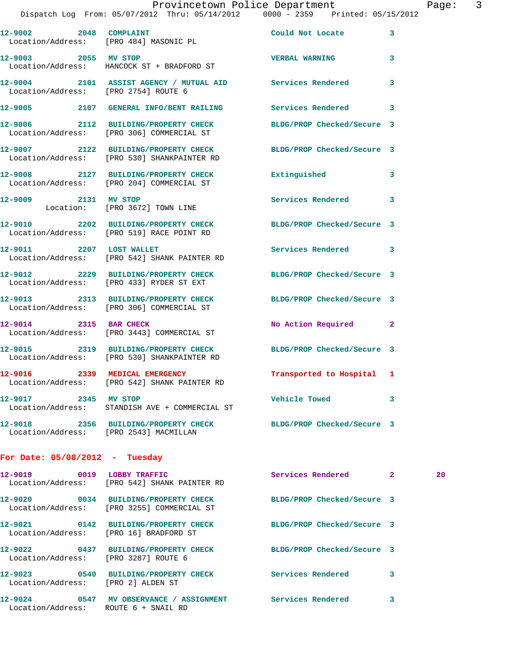| Provincetown Police Department |  |  |
|--------------------------------|--|--|
|                                |  |  |

|                                      | Dispatch Log From: 05/07/2012 Thru: 05/14/2012 0000 - 2359 Printed: 05/15/2012                                | Provincetown Police Department |   | Page: 3 |  |
|--------------------------------------|---------------------------------------------------------------------------------------------------------------|--------------------------------|---|---------|--|
|                                      | 12-9002 2048 COMPLAINT<br>Location/Address: [PRO 484] MASONIC PL                                              | Could Not Locate               | 3 |         |  |
| 12-9003 2055 MV STOP                 | Location/Address: HANCOCK ST + BRADFORD ST                                                                    | <b>VERBAL WARNING</b>          | 3 |         |  |
| Location/Address: [PRO 2754] ROUTE 6 | 12-9004 2101 ASSIST AGENCY / MUTUAL AID Services Rendered                                                     |                                | 3 |         |  |
|                                      | 12-9005 2107 GENERAL INFO/BENT RAILING Services Rendered 3                                                    |                                |   |         |  |
|                                      | 12-9006 2112 BUILDING/PROPERTY CHECK<br>Location/Address: [PRO 306] COMMERCIAL ST                             | BLDG/PROP Checked/Secure 3     |   |         |  |
|                                      | 12-9007 2122 BUILDING/PROPERTY CHECK<br>Location/Address: [PRO 530] SHANKPAINTER RD                           | BLDG/PROP Checked/Secure 3     |   |         |  |
|                                      | 12-9008 2127 BUILDING/PROPERTY CHECK Extinguished<br>Location/Address: [PRO 204] COMMERCIAL ST                |                                | 3 |         |  |
| 12-9009 2131 MV STOP                 | Location: [PRO 3672] TOWN LINE                                                                                | Services Rendered              | 3 |         |  |
|                                      | 12-9010 2202 BUILDING/PROPERTY CHECK BLDG/PROP Checked/Secure 3<br>Location/Address: [PRO 519] RACE POINT RD  |                                |   |         |  |
| 12-9011 2207 LOST WALLET             | Location/Address: [PRO 542] SHANK PAINTER RD                                                                  | Services Rendered              | 3 |         |  |
|                                      | 12-9012 2229 BUILDING/PROPERTY CHECK BLDG/PROP Checked/Secure 3<br>Location/Address: [PRO 433] RYDER ST EXT   |                                |   |         |  |
|                                      | 12-9013 2313 BUILDING/PROPERTY CHECK<br>Location/Address: [PRO 306] COMMERCIAL ST                             | BLDG/PROP Checked/Secure 3     |   |         |  |
|                                      | 12-9014 2315 BAR CHECK<br>Location/Address: [PRO 3443] COMMERCIAL ST                                          | No Action Required 2           |   |         |  |
|                                      | 12-9015 2319 BUILDING/PROPERTY CHECK<br>Location/Address: [PRO 530] SHANKPAINTER RD                           | BLDG/PROP Checked/Secure 3     |   |         |  |
|                                      | 12-9016 2339 MEDICAL EMERGENCY<br>Location/Address: [PRO 542] SHANK PAINTER RD                                | Transported to Hospital 1      |   |         |  |
| 12-9017 2345 MV STOP                 | Location/Address: STANDISH AVE + COMMERCIAL ST                                                                | <b>Vehicle Towed</b>           | 3 |         |  |
|                                      | 12-9018 2356 BUILDING/PROPERTY CHECK BLDG/PROP Checked/Secure 3<br>Location/Address: [PRO 2543] MACMILLAN     |                                |   |         |  |
| For Date: $05/08/2012$ - Tuesday     |                                                                                                               |                                |   |         |  |
|                                      | 12-9019 0019 LOBBY TRAFFIC<br>Location/Address: [PRO 542] SHANK PAINTER RD                                    | Services Rendered 2            |   | 20      |  |
|                                      | 12-9020 0034 BUILDING/PROPERTY CHECK BLDG/PROP Checked/Secure 3<br>Location/Address: [PRO 3255] COMMERCIAL ST |                                |   |         |  |
|                                      | 12-9021 0142 BUILDING/PROPERTY CHECK<br>Location/Address: [PRO 16] BRADFORD ST                                | BLDG/PROP Checked/Secure 3     |   |         |  |
| Location/Address: [PRO 3287] ROUTE 6 | 12-9022 0437 BUILDING/PROPERTY CHECK BLDG/PROP Checked/Secure 3                                               |                                |   |         |  |
| Location/Address: [PRO 2] ALDEN ST   | 12-9023 0540 BUILDING/PROPERTY CHECK Services Rendered 3                                                      |                                |   |         |  |
|                                      | 12-9024 0547 MV OBSERVANCE / ASSIGNMENT Services Rendered 3                                                   |                                |   |         |  |

Location/Address: ROUTE 6 + SNAIL RD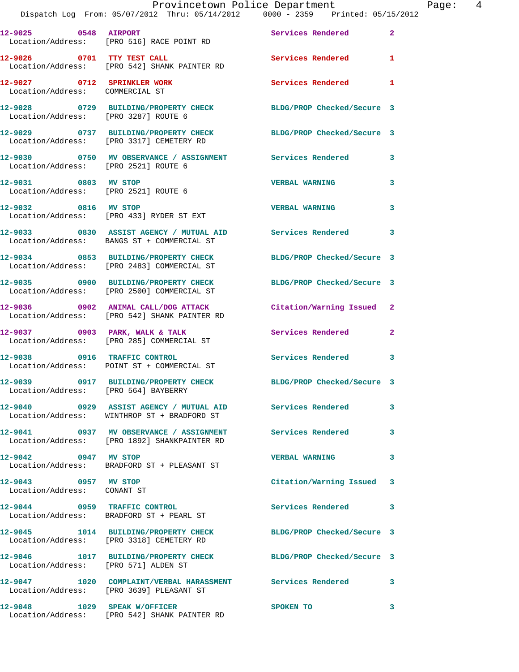|                                      | Dispatch Log From: 05/07/2012 Thru: 05/14/2012   0000 - 2359   Printed: 05/15/2012                            | Provincetown Police Department |              | Page: 4 |  |
|--------------------------------------|---------------------------------------------------------------------------------------------------------------|--------------------------------|--------------|---------|--|
|                                      | 12-9025 0548 AIRPORT<br>Location/Address: [PRO 516] RACE POINT RD                                             | Services Rendered 2            |              |         |  |
|                                      | 12-9026 0701 TTY TEST CALL<br>Location/Address: [PRO 542] SHANK PAINTER RD                                    | Services Rendered 1            |              |         |  |
| Location/Address: COMMERCIAL ST      | 12-9027 0712 SPRINKLER WORK 3 Services Rendered 1                                                             |                                |              |         |  |
| Location/Address: [PRO 3287] ROUTE 6 | 12-9028 0729 BUILDING/PROPERTY CHECK BLDG/PROP Checked/Secure 3                                               |                                |              |         |  |
|                                      | 12-9029 0737 BUILDING/PROPERTY CHECK BLDG/PROP Checked/Secure 3<br>Location/Address: [PRO 3317] CEMETERY RD   |                                |              |         |  |
| Location/Address: [PRO 2521] ROUTE 6 | 12-9030 0750 MV OBSERVANCE / ASSIGNMENT Services Rendered 3                                                   |                                |              |         |  |
| 12-9031 0803 MV STOP                 | Location/Address: [PRO 2521] ROUTE 6                                                                          | <b>VERBAL WARNING</b>          | $\mathbf{3}$ |         |  |
|                                      | 12-9032 0816 MV STOP<br>Location/Address: [PRO 433] RYDER ST EXT                                              | <b>VERBAL WARNING</b>          | 3            |         |  |
|                                      | 12-9033 0830 ASSIST AGENCY / MUTUAL AID Services Rendered 3<br>Location/Address: BANGS ST + COMMERCIAL ST     |                                |              |         |  |
|                                      | 12-9034 0853 BUILDING/PROPERTY CHECK BLDG/PROP Checked/Secure 3<br>Location/Address: [PRO 2483] COMMERCIAL ST |                                |              |         |  |
|                                      | 12-9035 0900 BUILDING/PROPERTY CHECK BLDG/PROP Checked/Secure 3<br>Location/Address: [PRO 2500] COMMERCIAL ST |                                |              |         |  |
|                                      | 12-9036 0902 ANIMAL CALL/DOG ATTACK Citation/Warning Issued 2<br>Location/Address: [PRO 542] SHANK PAINTER RD |                                |              |         |  |
|                                      | 12-9037 0903 PARK, WALK & TALK 3 Services Rendered 2<br>Location/Address: [PRO 285] COMMERCIAL ST             |                                |              |         |  |
| 12-9038 0916                         | TRAFFIC CONTROL<br>Location/Address: POINT ST + COMMERCIAL ST                                                 | Services Rendered              | 3            |         |  |
| Location/Address: [PRO 564] BAYBERRY | 12-9039 0917 BUILDING/PROPERTY CHECK                                                                          | BLDG/PROP Checked/Secure 3     |              |         |  |
|                                      | Location/Address: WINTHROP ST + BRADFORD ST                                                                   | Services Rendered              | 3            |         |  |
|                                      | 12-9041  0937 MV OBSERVANCE / ASSIGNMENT<br>Location/Address: [PRO 1892] SHANKPAINTER RD                      | Services Rendered              | 3            |         |  |
| 12-9042 0947 MV STOP                 | Location/Address: BRADFORD ST + PLEASANT ST                                                                   | <b>VERBAL WARNING</b>          | 3            |         |  |

**12-9043 0957 MV STOP Citation/Warning Issued 3**  Location/Address: CONANT ST

**12-9044 0959 TRAFFIC CONTROL Services Rendered 3**  Location/Address: BRADFORD ST + PEARL ST

Location/Address: [PRO 3318] CEMETERY RD

Location/Address: [PRO 571] ALDEN ST

**12-9047 1020 COMPLAINT/VERBAL HARASSMENT Services Rendered 3**  Location/Address: [PRO 3639] PLEASANT ST

Location/Address: [PRO 542] SHANK PAINTER RD

**12-9045 1014 BUILDING/PROPERTY CHECK BLDG/PROP Checked/Secure 3** 

**12-9046 1017 BUILDING/PROPERTY CHECK BLDG/PROP Checked/Secure 3** 

**12-9048 1029 SPEAK W/OFFICER SPOKEN TO 3**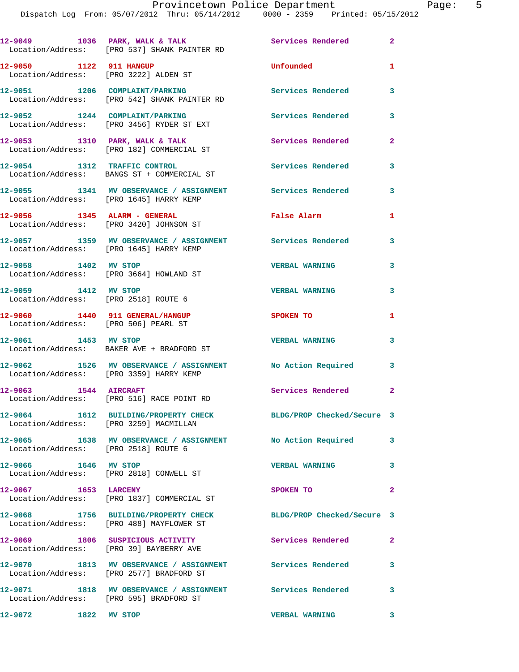|                                                                         | 12-9049 1036 PARK, WALK & TALK<br>Location/Address: [PRO 537] SHANK PAINTER RD                        | Services Rendered 2        |                |
|-------------------------------------------------------------------------|-------------------------------------------------------------------------------------------------------|----------------------------|----------------|
| 12-9050 1122 911 HANGUP                                                 | Location/Address: [PRO 3222] ALDEN ST                                                                 | Unfounded                  | 1              |
|                                                                         | 12-9051 1206 COMPLAINT/PARKING<br>Location/Address: [PRO 542] SHANK PAINTER RD                        | Services Rendered          | 3              |
|                                                                         | 12-9052 1244 COMPLAINT/PARKING<br>Location/Address: [PRO 3456] RYDER ST EXT                           | <b>Services Rendered</b>   | 3              |
|                                                                         | 12-9053 1310 PARK, WALK & TALK<br>Location/Address: [PRO 182] COMMERCIAL ST                           | Services Rendered          | $\mathbf{2}$   |
|                                                                         | 12-9054 1312 TRAFFIC CONTROL<br>Location/Address: BANGS ST + COMMERCIAL ST                            | Services Rendered          | 3              |
|                                                                         | 12-9055 1341 MV OBSERVANCE / ASSIGNMENT Services Rendered<br>Location/Address: [PRO 1645] HARRY KEMP  |                            | 3              |
| 12-9056 1345 ALARM - GENERAL                                            | Location/Address: [PRO 3420] JOHNSON ST                                                               | False Alarm                | 1              |
|                                                                         | 12-9057 1359 MV OBSERVANCE / ASSIGNMENT Services Rendered<br>Location/Address: [PRO 1645] HARRY KEMP  |                            | 3              |
| 12-9058 1402 MV STOP                                                    | Location/Address: [PRO 3664] HOWLAND ST                                                               | <b>VERBAL WARNING</b>      | 3              |
| 12-9059 1412 MV STOP<br>Location/Address: [PRO 2518] ROUTE 6            |                                                                                                       | <b>VERBAL WARNING</b>      | 3              |
| 12-9060 1440 911 GENERAL/HANGUP<br>Location/Address: [PRO 506] PEARL ST |                                                                                                       | <b>SPOKEN TO</b>           | 1              |
| 12-9061 1453 MV STOP                                                    | Location/Address: BAKER AVE + BRADFORD ST                                                             | <b>VERBAL WARNING</b>      | 3              |
|                                                                         | 12-9062 1526 MV OBSERVANCE / ASSIGNMENT No Action Required<br>Location/Address: [PRO 3359] HARRY KEMP |                            | 3              |
| 12-9063 1544 AIRCRAFT                                                   | Location/Address: [PRO 516] RACE POINT RD                                                             | Services Rendered          | $\mathbf{2}$   |
| Location/Address: [PRO 3259] MACMILLAN                                  | 12-9064 1612 BUILDING/PROPERTY CHECK                                                                  | BLDG/PROP Checked/Secure 3 |                |
| Location/Address: [PRO 2518] ROUTE 6                                    | 12-9065 1638 MV OBSERVANCE / ASSIGNMENT No Action Required                                            |                            | 3              |
| 12-9066 1646 MV STOP                                                    | Location/Address: [PRO 2818] CONWELL ST                                                               | <b>VERBAL WARNING</b>      | 3              |
| 12-9067 1653 LARCENY                                                    | Location/Address: [PRO 1837] COMMERCIAL ST                                                            | SPOKEN TO                  | $\overline{a}$ |
|                                                                         | 12-9068 1756 BUILDING/PROPERTY CHECK<br>Location/Address: [PRO 488] MAYFLOWER ST                      | BLDG/PROP Checked/Secure 3 |                |
|                                                                         | 12-9069 1806 SUSPICIOUS ACTIVITY<br>Location/Address: [PRO 39] BAYBERRY AVE                           | Services Rendered          | $\overline{2}$ |
|                                                                         | 12-9070 1813 MV OBSERVANCE / ASSIGNMENT Services Rendered<br>Location/Address: [PRO 2577] BRADFORD ST |                            | 3              |
|                                                                         | 12-9071 1818 MV OBSERVANCE / ASSIGNMENT Services Rendered<br>Location/Address: [PRO 595] BRADFORD ST  |                            | 3              |
| 12-9072 1822 MV STOP                                                    |                                                                                                       | <b>VERBAL WARNING</b>      | 3              |
|                                                                         |                                                                                                       |                            |                |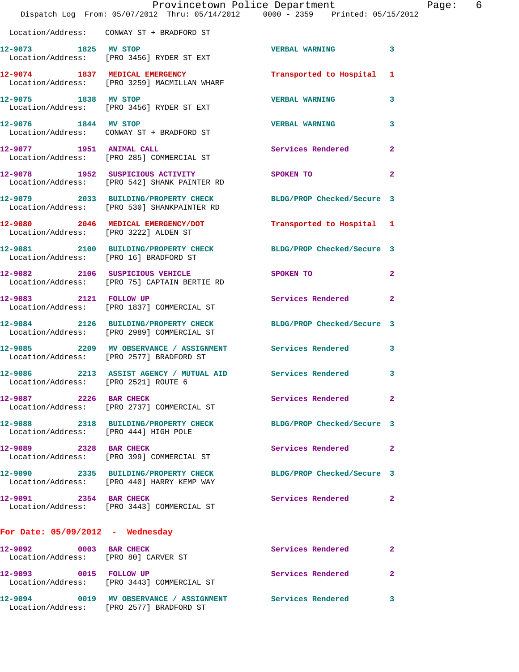|                                                                | Provincetown Police Department<br>Dispatch Log From: 05/07/2012 Thru: 05/14/2012 0000 - 2359 Printed: 05/15/2012 |                            |                |
|----------------------------------------------------------------|------------------------------------------------------------------------------------------------------------------|----------------------------|----------------|
|                                                                | Location/Address: CONWAY ST + BRADFORD ST                                                                        |                            |                |
| 12-9073 1825 MV STOP                                           | Location/Address: [PRO 3456] RYDER ST EXT                                                                        | <b>VERBAL WARNING</b>      | 3              |
|                                                                | 12-9074 1837 MEDICAL EMERGENCY<br>Location/Address: [PRO 3259] MACMILLAN WHARF                                   | Transported to Hospital    | 1              |
| 12-9075 1838 MV STOP                                           | Location/Address: [PRO 3456] RYDER ST EXT                                                                        | <b>VERBAL WARNING</b>      | 3              |
| 12-9076 1844 MV STOP                                           | Location/Address: CONWAY ST + BRADFORD ST                                                                        | <b>VERBAL WARNING</b>      | 3              |
| 12-9077 1951 ANIMAL CALL                                       | Location/Address: [PRO 285] COMMERCIAL ST                                                                        | <b>Services Rendered</b>   | 2              |
|                                                                | 12-9078 1952 SUSPICIOUS ACTIVITY<br>Location/Address: [PRO 542] SHANK PAINTER RD                                 | SPOKEN TO                  | $\mathbf{2}$   |
|                                                                | 12-9079 2033 BUILDING/PROPERTY CHECK BLDG/PROP Checked/Secure 3<br>Location/Address: [PRO 530] SHANKPAINTER RD   |                            |                |
| Location/Address: [PRO 3222] ALDEN ST                          | 12-9080 2046 MEDICAL EMERGENCY/DOT                                                                               | Transported to Hospital    | 1              |
| Location/Address: [PRO 16] BRADFORD ST                         | 12-9081 2100 BUILDING/PROPERTY CHECK BLDG/PROP Checked/Secure 3                                                  |                            |                |
|                                                                | 12-9082 2106 SUSPICIOUS VEHICLE<br>Location/Address: [PRO 75] CAPTAIN BERTIE RD                                  | <b>SPOKEN TO</b>           | 2              |
| 12-9083 2121 FOLLOW UP                                         | Location/Address: [PRO 1837] COMMERCIAL ST                                                                       | Services Rendered          | $\mathbf{2}$   |
|                                                                | 12-9084 2126 BUILDING/PROPERTY CHECK<br>Location/Address: [PRO 2989] COMMERCIAL ST                               | BLDG/PROP Checked/Secure 3 |                |
|                                                                | 12-9085 2209 MV OBSERVANCE / ASSIGNMENT Services Rendered<br>Location/Address: [PRO 2577] BRADFORD ST            |                            | 3              |
| Location/Address: [PRO 2521] ROUTE 6                           | 12-9086 2213 ASSIST AGENCY / MUTUAL AID Services Rendered                                                        |                            | 3              |
| 12-9087 2226 BAR CHECK                                         | Location/Address: [PRO 2737] COMMERCIAL ST                                                                       | Services Rendered          | $\mathbf{2}$   |
| Location/Address: [PRO 444] HIGH POLE                          | 12-9088 2318 BUILDING/PROPERTY CHECK                                                                             | BLDG/PROP Checked/Secure 3 |                |
| 12-9089 2328 BAR CHECK                                         | Location/Address: [PRO 399] COMMERCIAL ST                                                                        | Services Rendered          | $\overline{2}$ |
|                                                                | 12-9090 2335 BUILDING/PROPERTY CHECK<br>Location/Address: [PRO 440] HARRY KEMP WAY                               | BLDG/PROP Checked/Secure 3 |                |
| 12-9091 2354 BAR CHECK                                         | Location/Address: [PRO 3443] COMMERCIAL ST                                                                       | Services Rendered          | $\overline{2}$ |
| For Date: $05/09/2012$ - Wednesday                             |                                                                                                                  |                            |                |
| 12-9092 0003 BAR CHECK<br>Location/Address: [PRO 80] CARVER ST |                                                                                                                  | Services Rendered          | $\mathbf{2}$   |
| 12-9093 0015 FOLLOW UP                                         | Location/Address: [PRO 3443] COMMERCIAL ST                                                                       | Services Rendered          | 2              |
|                                                                |                                                                                                                  |                            | 3              |

Location/Address: [PRO 2577] BRADFORD ST

Page: 6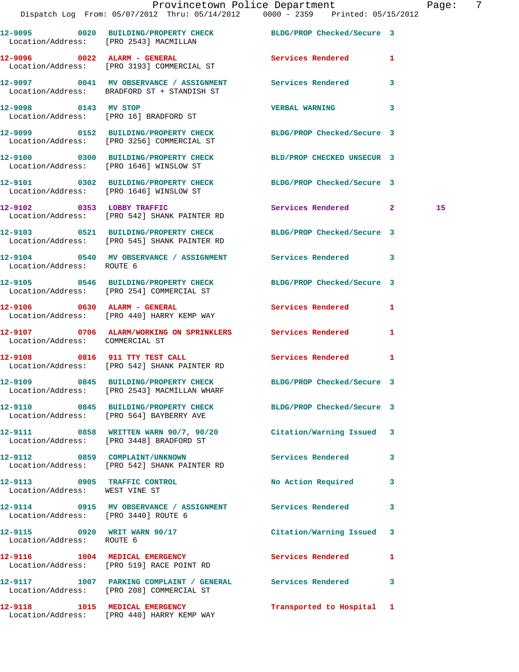|                                      | Provincetown Police Department Fage: 7<br>Dispatch Log From: 05/07/2012 Thru: 05/14/2012 0000 - 2359 Printed: 05/15/2012 |                            |              |    |  |
|--------------------------------------|--------------------------------------------------------------------------------------------------------------------------|----------------------------|--------------|----|--|
|                                      | 12-9095 0020 BUILDING/PROPERTY CHECK BLDG/PROP Checked/Secure 3<br>Location/Address: [PRO 2543] MACMILLAN                |                            |              |    |  |
|                                      | 12-9096 0022 ALARM - GENERAL<br>Location/Address: [PRO 3193] COMMERCIAL ST                                               | Services Rendered 1        |              |    |  |
|                                      | 12-9097 0041 MV OBSERVANCE / ASSIGNMENT Services Rendered 3<br>Location/Address: BRADFORD ST + STANDISH ST               |                            |              |    |  |
| 12-9098 0143 MV STOP                 | Location/Address: [PRO 16] BRADFORD ST                                                                                   | VERBAL WARNING 3           |              |    |  |
|                                      | 12-9099 0152 BUILDING/PROPERTY CHECK BLDG/PROP Checked/Secure 3<br>Location/Address: [PRO 3256] COMMERCIAL ST            |                            |              |    |  |
|                                      | 12-9100 0300 BUILDING/PROPERTY CHECK BLD/PROP CHECKED UNSECUR 3<br>Location/Address: [PRO 1646] WINSLOW ST               |                            |              |    |  |
|                                      | 12-9101 0302 BUILDING/PROPERTY CHECK BLDG/PROP Checked/Secure 3<br>Location/Address: [PRO 1646] WINSLOW ST               |                            |              |    |  |
|                                      | 12-9102 0353 LOBBY TRAFFIC<br>Location/Address: [PRO 542] SHANK PAINTER RD                                               | Services Rendered 2        |              | 15 |  |
|                                      | 12-9103 0521 BUILDING/PROPERTY CHECK BLDG/PROP Checked/Secure 3<br>Location/Address: [PRO 545] SHANK PAINTER RD          |                            |              |    |  |
| Location/Address: ROUTE 6            | 12-9104 0540 MV OBSERVANCE / ASSIGNMENT Services Rendered 3                                                              |                            |              |    |  |
|                                      | 12-9105 0546 BUILDING/PROPERTY CHECK BLDG/PROP Checked/Secure 3<br>Location/Address: [PRO 254] COMMERCIAL ST             |                            |              |    |  |
|                                      | 12-9106 0630 ALARM - GENERAL<br>Location/Address: [PRO 440] HARRY KEMP WAY                                               | Services Rendered 1        |              |    |  |
| Location/Address: COMMERCIAL ST      | 12-9107 0706 ALARM/WORKING ON SPRINKLERS Services Rendered 1                                                             |                            |              |    |  |
|                                      | 12-9108 0816 911 TTY TEST CALL<br>Location/Address: [PRO 542] SHANK PAINTER RD                                           | Services Rendered          | 1            |    |  |
|                                      | 12-9109 0845 BUILDING/PROPERTY CHECK<br>Location/Address: [PRO 2543] MACMILLAN WHARF                                     | BLDG/PROP Checked/Secure 3 |              |    |  |
|                                      | 12-9110 0845 BUILDING/PROPERTY CHECK BLDG/PROP Checked/Secure 3<br>Location/Address: [PRO 564] BAYBERRY AVE              |                            |              |    |  |
|                                      | 12-9111 6858 WRITTEN WARN 90/7, 90/20 Citation/Warning Issued 3<br>Location/Address: [PRO 3448] BRADFORD ST              |                            |              |    |  |
|                                      | 12-9112 0859 COMPLAINT/UNKNOWN<br>Location/Address: [PRO 542] SHANK PAINTER RD                                           | Services Rendered 3        |              |    |  |
| Location/Address: WEST VINE ST       | 12-9113 0905 TRAFFIC CONTROL                                                                                             | No Action Required 3       |              |    |  |
| Location/Address: [PRO 3440] ROUTE 6 | 12-9114 0915 MV OBSERVANCE / ASSIGNMENT Services Rendered                                                                |                            | 3            |    |  |
| Location/Address: ROUTE 6            | 12-9115 0920 WRIT WARN 90/17                                                                                             | Citation/Warning Issued 3  |              |    |  |
|                                      | 12-9116 1004 MEDICAL EMERGENCY<br>Location/Address: [PRO 519] RACE POINT RD                                              | <b>Services Rendered</b>   | $\mathbf{1}$ |    |  |
|                                      | 12-9117 1007 PARKING COMPLAINT / GENERAL Services Rendered 3<br>Location/Address: [PRO 208] COMMERCIAL ST                |                            |              |    |  |
| 12-9118 1015 MEDICAL EMERGENCY       |                                                                                                                          | Transported to Hospital 1  |              |    |  |

Location/Address: [PRO 440] HARRY KEMP WAY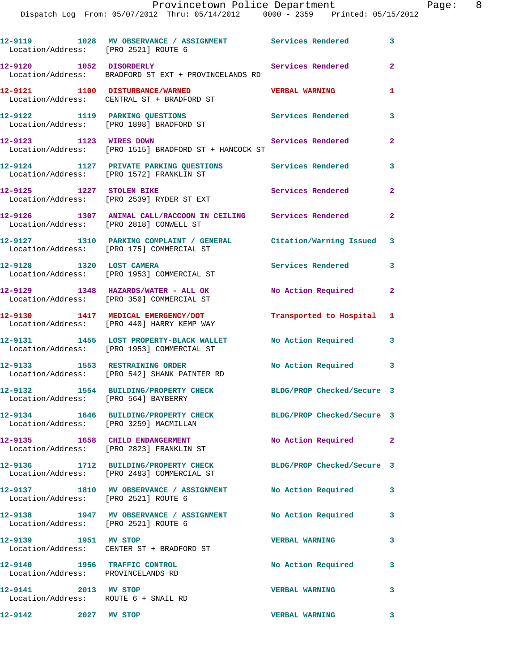| Provincetown Police Department                 |  |  |  | Page: |  |  |  |  |                                 |  |  |
|------------------------------------------------|--|--|--|-------|--|--|--|--|---------------------------------|--|--|
| Dispatch Log From: 05/07/2012 Thru: 05/14/2012 |  |  |  |       |  |  |  |  | 0000 - 2359 Printed: 05/15/2012 |  |  |

|                                    | 12-9119 1028 MV OBSERVANCE / ASSIGNMENT Services Rendered<br>Location/Address: [PRO 2521] ROUTE 6               |                            | $\mathbf{3}$               |
|------------------------------------|-----------------------------------------------------------------------------------------------------------------|----------------------------|----------------------------|
| 12-9120 1052 DISORDERLY            | Location/Address: BRADFORD ST EXT + PROVINCELANDS RD                                                            | Services Rendered 2        |                            |
|                                    | 12-9121 1100 DISTURBANCE/WARNED<br>Location/Address: CENTRAL ST + BRADFORD ST                                   | <b>VERBAL WARNING</b>      | 1                          |
|                                    | 12-9122 1119 PARKING QUESTIONS Services Rendered<br>Location/Address: [PRO 1898] BRADFORD ST                    |                            | $\mathbf{3}$               |
|                                    | 12-9123 1123 WIRES DOWN<br>Location/Address: [PRO 1515] BRADFORD ST + HANCOCK ST                                | Services Rendered          | $\mathbf{2}$               |
|                                    | 12-9124 1127 PRIVATE PARKING QUESTIONS Services Rendered<br>Location/Address: [PRO 1572] FRANKLIN ST            |                            | 3                          |
|                                    | 12-9125 1227 STOLEN BIKE<br>Location/Address: [PRO 2539] RYDER ST EXT                                           | <b>Services Rendered</b>   | $\overline{2}$             |
|                                    | 12-9126 1307 ANIMAL CALL/RACCOON IN CEILING Services Rendered<br>Location/Address: [PRO 2818] CONWELL ST        |                            | $\mathbf{2}$               |
|                                    | 12-9127 1310 PARKING COMPLAINT / GENERAL Citation/Warning Issued 3<br>Location/Address: [PRO 175] COMMERCIAL ST |                            |                            |
|                                    | 12-9128 1320 LOST CAMERA<br>Location/Address: [PRO 1953] COMMERCIAL ST                                          | <b>Services Rendered</b>   | 3                          |
|                                    | 12-9129 1348 HAZARDS/WATER - ALL OK<br>Location/Address: [PRO 350] COMMERCIAL ST                                | No Action Required 2       |                            |
|                                    | 12-9130 1417 MEDICAL EMERGENCY/DOT<br>Location/Address: [PRO 440] HARRY KEMP WAY                                | Transported to Hospital 1  |                            |
|                                    | 12-9131 1455 LOST PROPERTY-BLACK WALLET<br>Location/Address: [PRO 1953] COMMERCIAL ST                           | No Action Required 3       |                            |
|                                    | 12-9133 1553 RESTRAINING ORDER<br>Location/Address: [PRO 542] SHANK PAINTER RD                                  | No Action Required 3       |                            |
|                                    | 12-9132 1554 BUILDING/PROPERTY CHECK<br>Location/Address: [PRO 564] BAYBERRY                                    | BLDG/PROP Checked/Secure 3 |                            |
|                                    | 12-9134 1646 BUILDING/PROPERTY CHECK<br>Location/Address: [PRO 3259] MACMILLAN                                  | BLDG/PROP Checked/Secure 3 |                            |
|                                    | 12-9135 1658 CHILD ENDANGERMENT<br>Location/Address: [PRO 2823] FRANKLIN ST                                     | No Action Required 2       |                            |
|                                    | 12-9136 1712 BUILDING/PROPERTY CHECK<br>Location/Address: [PRO 2483] COMMERCIAL ST                              | BLDG/PROP Checked/Secure 3 |                            |
|                                    | 12-9137 1810 MV OBSERVANCE / ASSIGNMENT No Action Required<br>Location/Address: [PRO 2521] ROUTE 6              |                            | $\overline{\phantom{a}}$ 3 |
|                                    | 12-9138 1947 MV OBSERVANCE / ASSIGNMENT<br>Location/Address: [PRO 2521] ROUTE 6                                 | No Action Required         | 3                          |
| 12-9139 1951 MV STOP               | Location/Address: CENTER ST + BRADFORD ST                                                                       | <b>VERBAL WARNING</b>      | $\overline{\mathbf{3}}$    |
| Location/Address: PROVINCELANDS RD | 12-9140 1956 TRAFFIC CONTROL                                                                                    | No Action Required         | 3                          |
| 12-9141 2013 MV STOP               | Location/Address: ROUTE 6 + SNAIL RD                                                                            | <b>VERBAL WARNING</b>      | $\overline{\mathbf{3}}$    |
| 12-9142                            | 2027 MV STOP                                                                                                    | <b>VERBAL WARNING</b>      | 3                          |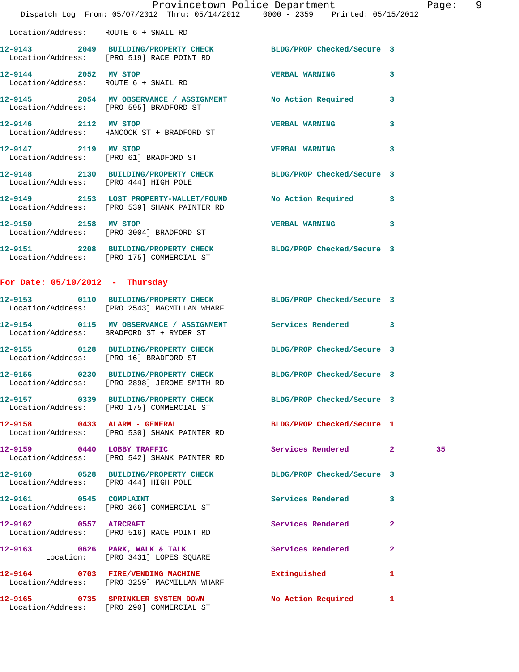|                                        | Dispatch Log From: 05/07/2012 Thru: 05/14/2012 0000 - 2359 Printed: 05/15/2012                                  | Provincetown Police Department |              | Page: 9 |  |
|----------------------------------------|-----------------------------------------------------------------------------------------------------------------|--------------------------------|--------------|---------|--|
| Location/Address: ROUTE 6 + SNAIL RD   |                                                                                                                 |                                |              |         |  |
|                                        | 12-9143 2049 BUILDING/PROPERTY CHECK BLDG/PROP Checked/Secure 3<br>Location/Address: [PRO 519] RACE POINT RD    |                                |              |         |  |
| 12-9144 2052 MV STOP                   | Location/Address: ROUTE 6 + SNAIL RD                                                                            | VERBAL WARNING 3               |              |         |  |
|                                        | 12-9145 2054 MV OBSERVANCE / ASSIGNMENT No Action Required 3<br>Location/Address: [PRO 595] BRADFORD ST         |                                |              |         |  |
| 12-9146 2112 MV STOP                   | Location/Address: HANCOCK ST + BRADFORD ST                                                                      | <b>VERBAL WARNING 3</b>        |              |         |  |
|                                        | 12-9147 2119 MV STOP<br>Location/Address: [PRO 61] BRADFORD ST                                                  | VERBAL WARNING 3               |              |         |  |
| Location/Address: [PRO 444] HIGH POLE  | 12-9148 2130 BUILDING/PROPERTY CHECK BLDG/PROP Checked/Secure 3                                                 |                                |              |         |  |
|                                        | 12-9149 2153 LOST PROPERTY-WALLET/FOUND No Action Required 3<br>Location/Address: [PRO 539] SHANK PAINTER RD    |                                |              |         |  |
| 12-9150 2158 MV STOP                   | Location/Address: [PRO 3004] BRADFORD ST                                                                        | VERBAL WARNING 3               |              |         |  |
|                                        | 12-9151 2208 BUILDING/PROPERTY CHECK BLDG/PROP Checked/Secure 3<br>Location/Address: [PRO 175] COMMERCIAL ST    |                                |              |         |  |
| For Date: $05/10/2012$ - Thursday      |                                                                                                                 |                                |              |         |  |
|                                        | 12-9153 0110 BUILDING/PROPERTY CHECK BLDG/PROP Checked/Secure 3<br>Location/Address: [PRO 2543] MACMILLAN WHARF |                                |              |         |  |
|                                        | 12-9154 0115 MV OBSERVANCE / ASSIGNMENT Services Rendered 3<br>Location/Address: BRADFORD ST + RYDER ST         |                                |              |         |  |
| Location/Address: [PRO 16] BRADFORD ST | 12-9155 0128 BUILDING/PROPERTY CHECK BLDG/PROP Checked/Secure 3                                                 |                                |              |         |  |
|                                        | 12-9156 0230 BUILDING/PROPERTY CHECK BLDG/PROP Checked/Secure 3<br>Location/Address: [PRO 2898] JEROME SMITH RD |                                |              |         |  |
|                                        | 12-9157 0339 BUILDING/PROPERTY CHECK BLDG/PROP Checked/Secure 3<br>Location/Address: [PRO 175] COMMERCIAL ST    |                                |              |         |  |
|                                        | 12-9158 0433 ALARM - GENERAL<br>Location/Address: [PRO 530] SHANK PAINTER RD                                    | BLDG/PROP Checked/Secure 1     |              |         |  |
| 12-9159 0440 LOBBY TRAFFIC             | Location/Address: [PRO 542] SHANK PAINTER RD                                                                    | Services Rendered 2            |              | 35      |  |
| Location/Address: [PRO 444] HIGH POLE  | 12-9160 0528 BUILDING/PROPERTY CHECK BLDG/PROP Checked/Secure 3                                                 |                                |              |         |  |
|                                        | 12-9161 0545 COMPLAINT<br>Location/Address: [PRO 366] COMMERCIAL ST                                             | Services Rendered              | 3            |         |  |
| 12-9162 0557 AIRCRAFT                  | Location/Address: [PRO 516] RACE POINT RD                                                                       | Services Rendered              | $\mathbf{2}$ |         |  |
|                                        | 12-9163 0626 PARK, WALK & TALK<br>Location: [PRO 3431] LOPES SQUARE                                             | Services Rendered              | $\mathbf{2}$ |         |  |
|                                        | 12-9164 0703 FIRE/VENDING MACHINE<br>Location/Address: [PRO 3259] MACMILLAN WHARF                               | Extinguished                   | $\mathbf{1}$ |         |  |
|                                        | 12-9165 0735 SPRINKLER SYSTEM DOWN                                                                              | No Action Required 1           |              |         |  |

Location/Address: [PRO 290] COMMERCIAL ST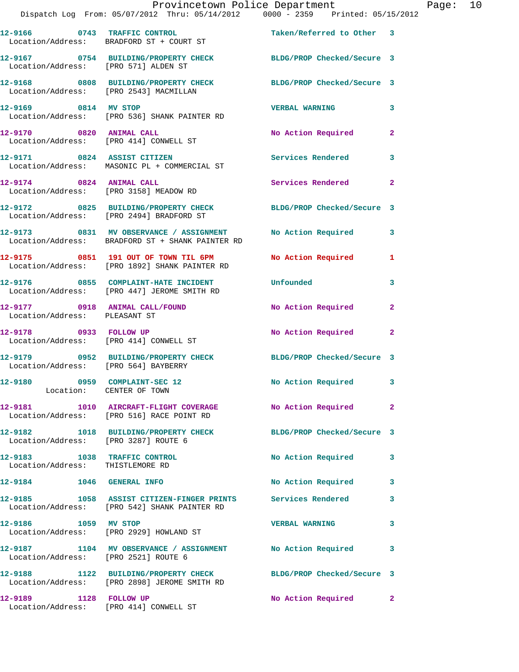|                                                                  | Provincetown Police Department<br>Dispatch Log From: 05/07/2012 Thru: 05/14/2012 0000 - 2359 Printed: 05/15/2012 |                           |                |
|------------------------------------------------------------------|------------------------------------------------------------------------------------------------------------------|---------------------------|----------------|
|                                                                  | 12-9166 0743 TRAFFIC CONTROL Taken/Referred to Other 3<br>Location/Address: BRADFORD ST + COURT ST               |                           |                |
| Location/Address: [PRO 571] ALDEN ST                             | 12-9167 0754 BUILDING/PROPERTY CHECK BLDG/PROP Checked/Secure 3                                                  |                           |                |
| Location/Address: [PRO 2543] MACMILLAN                           | 12-9168 0808 BUILDING/PROPERTY CHECK BLDG/PROP Checked/Secure 3                                                  |                           |                |
| 12-9169 0814 MV STOP                                             | Location/Address: [PRO 536] SHANK PAINTER RD                                                                     | <b>VERBAL WARNING</b>     | 3              |
|                                                                  | 12-9170 0820 ANIMAL CALL<br>Location/Address: [PRO 414] CONWELL ST                                               | No Action Required        | 2              |
|                                                                  | 12-9171 0824 ASSIST CITIZEN<br>Location/Address: MASONIC PL + COMMERCIAL ST                                      | Services Rendered         | 3              |
| 12-9174 0824 ANIMAL CALL                                         | Location/Address: [PRO 3158] MEADOW RD                                                                           | Services Rendered         | $\mathbf{2}$   |
|                                                                  | 12-9172 0825 BUILDING/PROPERTY CHECK BLDG/PROP Checked/Secure 3<br>Location/Address: [PRO 2494] BRADFORD ST      |                           |                |
|                                                                  | 12-9173 0831 MV OBSERVANCE / ASSIGNMENT<br>Location/Address: BRADFORD ST + SHANK PAINTER RD                      | No Action Required        | 3              |
|                                                                  | 12-9175 0851 191 OUT OF TOWN TIL 6PM<br>Location/Address: [PRO 1892] SHANK PAINTER RD                            | No Action Required        | 1              |
|                                                                  | 12-9176 0855 COMPLAINT-HATE INCIDENT<br>Location/Address: [PRO 447] JEROME SMITH RD                              | Unfounded                 | 3              |
| Location/Address: PLEASANT ST                                    | 12-9177 0918 ANIMAL CALL/FOUND                                                                                   | No Action Required        | 2              |
|                                                                  | 12-9178 0933 FOLLOW UP<br>Location/Address: [PRO 414] CONWELL ST                                                 | <b>No Action Required</b> | $\overline{a}$ |
| Location/Address: [PRO 564] BAYBERRY                             | 12-9179 0952 BUILDING/PROPERTY CHECK BLDG/PROP Checked/Secure 3                                                  |                           |                |
| 12-9180 0959 COMPLAINT-SEC 12<br>Location: CENTER OF TOWN        |                                                                                                                  | No Action Required        | 3              |
|                                                                  | 12-9181 1010 AIRCRAFT-FLIGHT COVERAGE No Action Required<br>Location/Address: [PRO 516] RACE POINT RD            |                           | $\overline{2}$ |
| Location/Address: [PRO 3287] ROUTE 6                             | 12-9182 1018 BUILDING/PROPERTY CHECK BLDG/PROP Checked/Secure 3                                                  |                           |                |
| 12-9183 1038 TRAFFIC CONTROL<br>Location/Address: THISTLEMORE RD |                                                                                                                  | No Action Required        | 3              |
| 12-9184 1046 GENERAL INFO                                        |                                                                                                                  | No Action Required        | 3              |
|                                                                  | 12-9185 1058 ASSIST CITIZEN-FINGER PRINTS Services Rendered<br>Location/Address: [PRO 542] SHANK PAINTER RD      |                           | 3              |
| 12-9186 1059 MV STOP                                             | Location/Address: [PRO 2929] HOWLAND ST                                                                          | <b>VERBAL WARNING</b>     | 3              |
| Location/Address: [PRO 2521] ROUTE 6                             | 12-9187 1104 MV OBSERVANCE / ASSIGNMENT No Action Required                                                       |                           | 3              |
|                                                                  | 12-9188 1122 BUILDING/PROPERTY CHECK BLDG/PROP Checked/Secure 3<br>Location/Address: [PRO 2898] JEROME SMITH RD  |                           |                |
| 12-9189 1128 FOLLOW UP                                           | Location/Address: [PRO 414] CONWELL ST                                                                           | No Action Required        | $\mathbf{2}$   |

Page: 10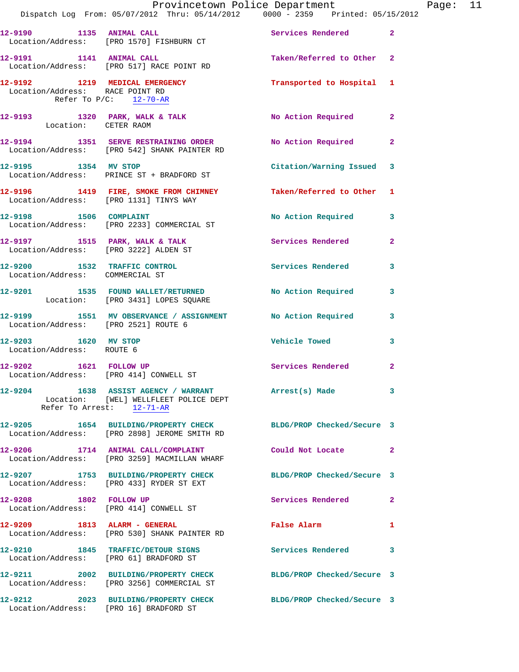|                                                   | Provincetown Police Department Fage: 11<br>Dispatch Log From: 05/07/2012 Thru: 05/14/2012   0000 - 2359   Printed: 05/15/2012 |                            |              |  |
|---------------------------------------------------|-------------------------------------------------------------------------------------------------------------------------------|----------------------------|--------------|--|
|                                                   | 12-9190 1135 ANIMAL CALL<br>Location/Address: [PRO 1570] FISHBURN CT                                                          | Services Rendered 2        |              |  |
|                                                   | 12-9191 1141 ANIMAL CALL<br>Location/Address: [PRO 517] RACE POINT RD                                                         | Taken/Referred to Other 2  |              |  |
| Location/Address: RACE POINT RD                   | 12-9192 1219 MEDICAL EMERGENCY 1 Transported to Hospital 1<br>Refer To $P/C$ : 12-70-AR                                       |                            |              |  |
| Location: CETER RAOM                              | 12-9193 1320 PARK, WALK & TALK No Action Required 2                                                                           |                            |              |  |
|                                                   | 12-9194 1351 SERVE RESTRAINING ORDER No Action Required 2<br>Location/Address: [PRO 542] SHANK PAINTER RD                     |                            |              |  |
|                                                   | 12-9195 1354 MV STOP<br>Location/Address: PRINCE ST + BRADFORD ST                                                             | Citation/Warning Issued 3  |              |  |
|                                                   | 12-9196 1419 FIRE, SMOKE FROM CHIMNEY Taken/Referred to Other 1<br>Location/Address: [PRO 1131] TINYS WAY                     |                            |              |  |
|                                                   | 12-9198 1506 COMPLAINT 12-9198 No Action Required 3<br>Location/Address: [PRO 2233] COMMERCIAL ST                             |                            |              |  |
|                                                   | 12-9197 1515 PARK, WALK & TALK 1991 Services Rendered 2<br>Location/Address: [PRO 3222] ALDEN ST                              |                            |              |  |
|                                                   | 12-9200 1532 TRAFFIC CONTROL Services Rendered<br>Location/Address: COMMERCIAL ST                                             |                            | 3            |  |
|                                                   | 12-9201 1535 FOUND WALLET/RETURNED No Action Required 3<br>Location: [PRO 3431] LOPES SQUARE                                  |                            |              |  |
| Location/Address: [PRO 2521] ROUTE 6              | 12-9199 1551 MV OBSERVANCE / ASSIGNMENT No Action Required 3                                                                  |                            |              |  |
| 12-9203 1620 MV STOP<br>Location/Address: ROUTE 6 |                                                                                                                               | Vehicle Towed              | 3            |  |
|                                                   | 12-9202 1621 FOLLOW UP<br>Location/Address: [PRO 414] CONWELL ST                                                              | Services Rendered          | $\mathbf{2}$ |  |
| Refer To Arrest: 12-71-AR                         | 12-9204 1638 ASSIST AGENCY / WARRANT Arrest(s) Made 3<br>Location: [WEL] WELLFLEET POLICE DEPT                                |                            |              |  |
|                                                   | 12-9205 1654 BUILDING/PROPERTY CHECK BLDG/PROP Checked/Secure 3<br>Location/Address: [PRO 2898] JEROME SMITH RD               |                            |              |  |
|                                                   | 12-9206 1714 ANIMAL CALL/COMPLAINT Could Not Locate 2<br>Location/Address: [PRO 3259] MACMILLAN WHARF                         |                            |              |  |
|                                                   | 12-9207 1753 BUILDING/PROPERTY CHECK<br>Location/Address: [PRO 433] RYDER ST EXT                                              | BLDG/PROP Checked/Secure 3 |              |  |
| 12-9208 1802 FOLLOW UP                            | Location/Address: [PRO 414] CONWELL ST                                                                                        | Services Rendered          | $\mathbf{2}$ |  |
|                                                   | 12-9209 1813 ALARM - GENERAL<br>Location/Address: [PRO 530] SHANK PAINTER RD                                                  | False Alarm                | 1            |  |
|                                                   | 12-9210 1845 TRAFFIC/DETOUR SIGNS<br>Location/Address: [PRO 61] BRADFORD ST                                                   | Services Rendered          | 3            |  |
|                                                   | 12-9211 2002 BUILDING/PROPERTY CHECK BLDG/PROP Checked/Secure 3<br>Location/Address: [PRO 3256] COMMERCIAL ST                 |                            |              |  |
|                                                   | 12-9212 2023 BUILDING/PROPERTY CHECK BLDG/PROP Checked/Secure 3<br>Location/Address: [PRO 16] BRADFORD ST                     |                            |              |  |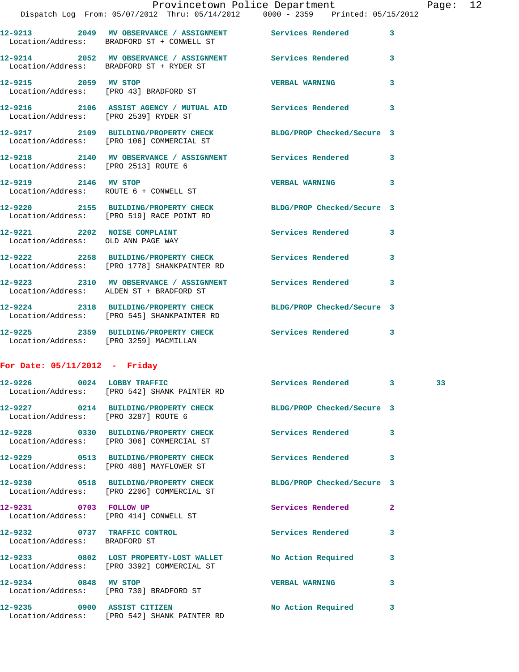|                                                                    | Provincetown Police Department                                                                               |                       |                         |
|--------------------------------------------------------------------|--------------------------------------------------------------------------------------------------------------|-----------------------|-------------------------|
|                                                                    | Dispatch Log From: 05/07/2012 Thru: 05/14/2012 0000 - 2359 Printed: 05/15/2012                               |                       |                         |
|                                                                    | 12-9213 2049 MV OBSERVANCE / ASSIGNMENT Services Rendered<br>Location/Address: BRADFORD ST + CONWELL ST      |                       | $\mathbf{3}$            |
|                                                                    | 12-9214 2052 MV OBSERVANCE / ASSIGNMENT Services Rendered<br>Location/Address: BRADFORD ST + RYDER ST        |                       | 3                       |
| 12-9215 2059 MV STOP                                               | Location/Address: [PRO 43] BRADFORD ST                                                                       | <b>VERBAL WARNING</b> | 3                       |
| Location/Address: [PRO 2539] RYDER ST                              | 12-9216  2106 ASSIST AGENCY / MUTUAL AID  Services Rendered                                                  |                       | 3                       |
|                                                                    | 12-9217 2109 BUILDING/PROPERTY CHECK BLDG/PROP Checked/Secure 3<br>Location/Address: [PRO 106] COMMERCIAL ST |                       |                         |
|                                                                    | 12-9218 2140 MV OBSERVANCE / ASSIGNMENT Services Rendered<br>Location/Address: [PRO 2513] ROUTE 6            |                       | $\overline{\mathbf{3}}$ |
| 12-9219 2146 MV STOP<br>Location/Address: ROUTE 6 + CONWELL ST     |                                                                                                              | <b>VERBAL WARNING</b> | $\overline{\mathbf{3}}$ |
|                                                                    | 12-9220 2155 BUILDING/PROPERTY CHECK BLDG/PROP Checked/Secure 3<br>Location/Address: [PRO 519] RACE POINT RD |                       |                         |
| 12-9221 2202 NOISE COMPLAINT<br>Location/Address: OLD ANN PAGE WAY |                                                                                                              | Services Rendered     | $\overline{\mathbf{3}}$ |
|                                                                    | 12-9222 2258 BUILDING/PROPERTY CHECK Services Rendered<br>Location/Address: [PRO 1778] SHANKPAINTER RD       |                       | 3                       |

**12-9223 2310 MV OBSERVANCE / ASSIGNMENT Services Rendered 3**  Location/Address: ALDEN ST + BRADFORD ST **12-9224 2318 BUILDING/PROPERTY CHECK BLDG/PROP Checked/Secure 3**  Location/Address: [PRO 545] SHANKPAINTER RD **12-9225 2359 BUILDING/PROPERTY CHECK Services Rendered 3**  Location/Address: [PRO 3259] MACMILLAN

## **For Date: 05/11/2012 - Friday**

|                                                               | 12-9226 0024 LOBBY TRAFFIC Services Rendered 3<br>Location/Address: [PRO 542] SHANK PAINTER RD                     |                          |                         | 33 <sup>2</sup> |
|---------------------------------------------------------------|--------------------------------------------------------------------------------------------------------------------|--------------------------|-------------------------|-----------------|
| Location/Address: [PRO 3287] ROUTE 6                          | 12-9227 0214 BUILDING/PROPERTY CHECK BLDG/PROP Checked/Secure 3                                                    |                          |                         |                 |
|                                                               | 12-9228       0330   BUILDING/PROPERTY CHECK        Services Rendered<br>Location/Address: [PRO 306] COMMERCIAL ST |                          | $\overline{\mathbf{3}}$ |                 |
|                                                               | Location/Address: [PRO 488] MAYFLOWER ST                                                                           |                          | $\overline{\mathbf{3}}$ |                 |
|                                                               | 12-9230 0518 BUILDING/PROPERTY CHECK BLDG/PROP Checked/Secure 3<br>Location/Address: [PRO 2206] COMMERCIAL ST      |                          |                         |                 |
| 12-9231 0703 FOLLOW UP                                        | Location/Address: [PRO 414] CONWELL ST                                                                             | <b>Services Rendered</b> | $\overline{2}$          |                 |
| 12-9232 0737 TRAFFIC CONTROL<br>Location/Address: BRADFORD ST |                                                                                                                    | Services Rendered        | 3                       |                 |
|                                                               | 12-9233 0802 LOST PROPERTY-LOST WALLET No Action Required<br>Location/Address: [PRO 3392] COMMERCIAL ST            |                          | $\overline{\mathbf{3}}$ |                 |
| 12-9234 0848 MV STOP                                          | Location/Address: [PRO 730] BRADFORD ST                                                                            | <b>VERBAL WARNING</b>    | 3                       |                 |
| 12-9235 0900 ASSIST CITIZEN                                   | Location/Address: [PRO 542] SHANK PAINTER RD                                                                       | No Action Required       | $\overline{\mathbf{3}}$ |                 |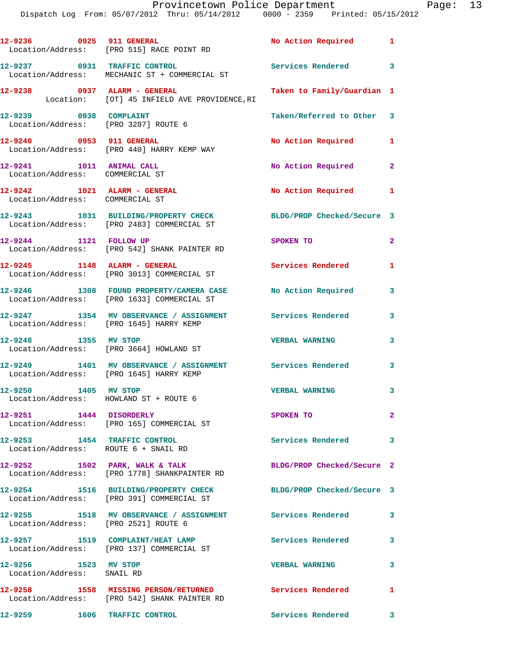Dispatch Log From: 05/07/2012 Thru: 05/14/2012 0000 - 2359 Printed: 05/15/2012

|                                                                      | 12-9236 0925 911 GENERAL<br>Location/Address: [PRO 515] RACE POINT RD                                    | No Action Required 1       |                         |
|----------------------------------------------------------------------|----------------------------------------------------------------------------------------------------------|----------------------------|-------------------------|
| 12-9237 0931 TRAFFIC CONTROL                                         | Location/Address: MECHANIC ST + COMMERCIAL ST                                                            | Services Rendered 3        |                         |
|                                                                      | 12-9238 0937 ALARM - GENERAL<br>Location: [OT] 45 INFIELD AVE PROVIDENCE, RI                             | Taken to Family/Guardian 1 |                         |
| 12-9239 0938 COMPLAINT<br>Location/Address: [PRO 3287] ROUTE 6       |                                                                                                          | Taken/Referred to Other 3  |                         |
|                                                                      | 12-9240 0953 911 GENERAL<br>Location/Address: [PRO 440] HARRY KEMP WAY                                   | No Action Required 1       |                         |
| 12-9241 1011 ANIMAL CALL<br>Location/Address: COMMERCIAL ST          |                                                                                                          | No Action Required 2       |                         |
| 12-9242 1021 ALARM - GENERAL<br>Location/Address: COMMERCIAL ST      |                                                                                                          | No Action Required 1       |                         |
|                                                                      | 12-9243 1031 BUILDING/PROPERTY CHECK<br>Location/Address: [PRO 2483] COMMERCIAL ST                       | BLDG/PROP Checked/Secure 3 |                         |
| 12-9244 1121 FOLLOW UP                                               | Location/Address: [PRO 542] SHANK PAINTER RD                                                             | SPOKEN TO                  | $\overline{2}$          |
| 12-9245    1148    ALARM - GENERAL                                   | Location/Address: [PRO 3013] COMMERCIAL ST                                                               | Services Rendered          | $\mathbf{1}$            |
|                                                                      | 12-9246 1308 FOUND PROPERTY/CAMERA CASE No Action Required<br>Location/Address: [PRO 1633] COMMERCIAL ST |                            | 3                       |
|                                                                      | 12-9247 1354 MV OBSERVANCE / ASSIGNMENT Services Rendered<br>Location/Address: [PRO 1645] HARRY KEMP     |                            | 3                       |
| 12-9248 1355 MV STOP                                                 | Location/Address: [PRO 3664] HOWLAND ST                                                                  | <b>VERBAL WARNING</b>      | 3                       |
|                                                                      | 12-9249 1401 MV OBSERVANCE / ASSIGNMENT Services Rendered<br>Location/Address: [PRO 1645] HARRY KEMP     |                            | 3                       |
| 1405 MV STOP<br>12-9250                                              | Location/Address: HOWLAND ST + ROUTE 6                                                                   | <b>VERBAL WARNING</b>      | 3                       |
| 12-9251 1444 DISORDERLY                                              | Location/Address: [PRO 165] COMMERCIAL ST                                                                | SPOKEN TO                  | $\mathbf{2}$            |
| 12-9253 1454 TRAFFIC CONTROL<br>Location/Address: ROUTE 6 + SNAIL RD |                                                                                                          | Services Rendered          | 3                       |
|                                                                      | 12-9252 1502 PARK, WALK & TALK<br>Location/Address: [PRO 1778] SHANKPAINTER RD                           | BLDG/PROP Checked/Secure 2 |                         |
|                                                                      | 12-9254 1516 BUILDING/PROPERTY CHECK<br>Location/Address: [PRO 391] COMMERCIAL ST                        | BLDG/PROP Checked/Secure 3 |                         |
| Location/Address: [PRO 2521] ROUTE 6                                 | 12-9255 1518 MV OBSERVANCE / ASSIGNMENT Services Rendered                                                |                            | $\overline{\mathbf{3}}$ |
|                                                                      | 12-9257 1519 COMPLAINT/HEAT LAMP<br>Location/Address: [PRO 137] COMMERCIAL ST                            | Services Rendered          | 3                       |
| 12-9256 1523 MV STOP<br>Location/Address: SNAIL RD                   |                                                                                                          | <b>VERBAL WARNING</b>      | 3                       |
|                                                                      | 12-9258 1558 MISSING PERSON/RETURNED Services Rendered 1<br>Location/Address: [PRO 542] SHANK PAINTER RD |                            |                         |
| 12-9259 1606 TRAFFIC CONTROL                                         |                                                                                                          | Services Rendered 3        |                         |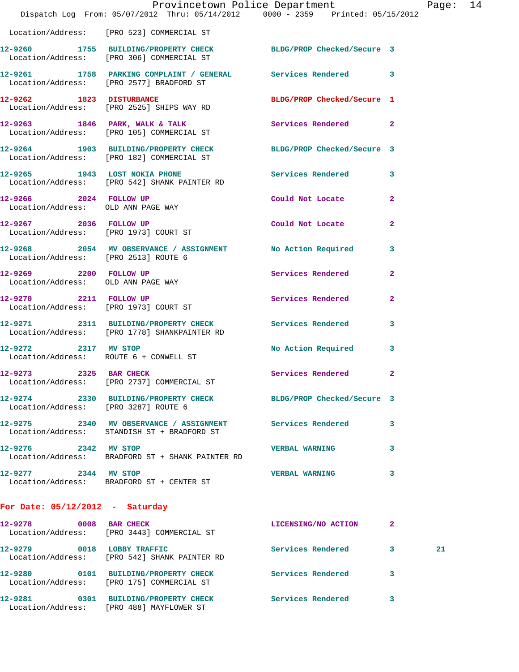|                                                              | Provincetown Police Department The Rage: 14<br>Dispatch Log From: 05/07/2012 Thru: 05/14/2012 0000 - 2359 Printed: 05/15/2012 |                             |              |    |  |
|--------------------------------------------------------------|-------------------------------------------------------------------------------------------------------------------------------|-----------------------------|--------------|----|--|
|                                                              | Location/Address: [PRO 523] COMMERCIAL ST                                                                                     |                             |              |    |  |
|                                                              | 12-9260 1755 BUILDING/PROPERTY CHECK BLDG/PROP Checked/Secure 3<br>Location/Address: [PRO 306] COMMERCIAL ST                  |                             |              |    |  |
|                                                              | 12-9261 1758 PARKING COMPLAINT / GENERAL Services Rendered 3<br>Location/Address: [PRO 2577] BRADFORD ST                      |                             |              |    |  |
|                                                              | 12-9262 1823 DISTURBANCE<br>Location/Address: [PRO 2525] SHIPS WAY RD                                                         | BLDG/PROP Checked/Secure 1  |              |    |  |
|                                                              | 12-9263 1846 PARK, WALK & TALK 3 Services Rendered 2<br>Location/Address: [PRO 105] COMMERCIAL ST                             |                             |              |    |  |
|                                                              | 12-9264 1903 BUILDING/PROPERTY CHECK BLDG/PROP Checked/Secure 3<br>Location/Address: [PRO 182] COMMERCIAL ST                  |                             |              |    |  |
|                                                              | 12-9265 1943 LOST NOKIA PHONE 12-9265 Rendered 3<br>Location/Address: [PRO 542] SHANK PAINTER RD                              |                             |              |    |  |
| Location/Address: OLD ANN PAGE WAY                           | 12-9266 2024 FOLLOW UP                                                                                                        | Could Not Locate            | $\mathbf{2}$ |    |  |
|                                                              | 12-9267 2036 FOLLOW UP<br>Location/Address: [PRO 1973] COURT ST                                                               | Could Not Locate 2          |              |    |  |
| Location/Address: [PRO 2513] ROUTE 6                         | 12-9268 2054 MV OBSERVANCE / ASSIGNMENT No Action Required 3                                                                  |                             |              |    |  |
| 12-9269 2200 FOLLOW UP<br>Location/Address: OLD ANN PAGE WAY |                                                                                                                               | Services Rendered 2         |              |    |  |
|                                                              | 12-9270 2211 FOLLOW UP<br>Location/Address: [PRO 1973] COURT ST                                                               | Services Rendered 2         |              |    |  |
|                                                              | 12-9271 2311 BUILDING/PROPERTY CHECK Services Rendered 3<br>Location/Address: [PRO 1778] SHANKPAINTER RD                      |                             |              |    |  |
|                                                              | 12-9272 2317 MV STOP<br>Location/Address: ROUTE 6 + CONWELL ST                                                                | No Action Required 3        |              |    |  |
| 12-9273 2325 BAR CHECK                                       | Location/Address: [PRO 2737] COMMERCIAL ST                                                                                    | <b>Services Rendered 22</b> |              |    |  |
| Location/Address: [PRO 3287] ROUTE 6                         | 12-9274 2330 BUILDING/PROPERTY CHECK BLDG/PROP Checked/Secure 3                                                               |                             |              |    |  |
|                                                              | 12-9275 2340 MV OBSERVANCE / ASSIGNMENT Services Rendered 3<br>Location/Address: STANDISH ST + BRADFORD ST                    |                             |              |    |  |
| 12-9276 2342 MV STOP                                         | Location/Address: BRADFORD ST + SHANK PAINTER RD                                                                              | <b>VERBAL WARNING</b>       | 3            |    |  |
| 12-9277 2344 MV STOP                                         | Location/Address: BRADFORD ST + CENTER ST                                                                                     | <b>VERBAL WARNING</b>       | 3            |    |  |
| For Date: $05/12/2012$ - Saturday                            |                                                                                                                               |                             |              |    |  |
| 12-9278 0008 BAR CHECK                                       | Location/Address: [PRO 3443] COMMERCIAL ST                                                                                    | LICENSING/NO ACTION 2       |              |    |  |
|                                                              | 12-9279 0018 LOBBY TRAFFIC<br>Location/Address: [PRO 542] SHANK PAINTER RD                                                    | Services Rendered 3         |              | 21 |  |
|                                                              | 12-9280 0101 BUILDING/PROPERTY CHECK                                                                                          | Services Rendered 3         |              |    |  |

Location/Address: [PRO 488] MAYFLOWER ST

Location/Address: [PRO 175] COMMERCIAL ST

**12-9281 0301 BUILDING/PROPERTY CHECK Services Rendered 3**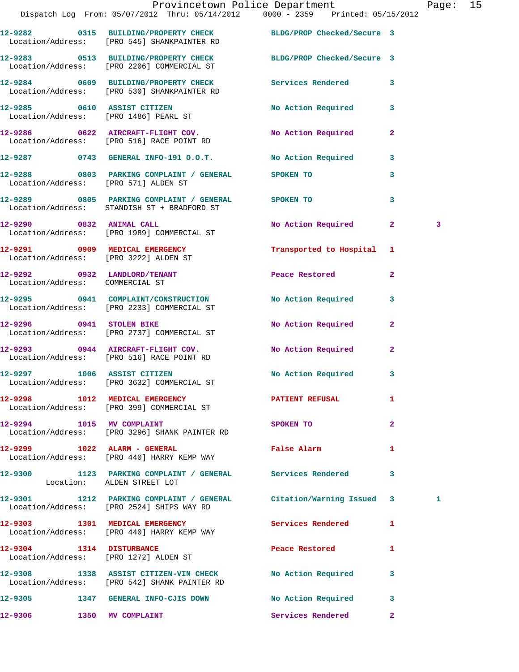|                                                                                |                            | Provincetown Police Department Page: 15<br>Dispatch Log From: 05/07/2012 Thru: 05/14/2012   0000 - 2359   Printed: 05/15/2012 |                                       |                           |                |   |  |
|--------------------------------------------------------------------------------|----------------------------|-------------------------------------------------------------------------------------------------------------------------------|---------------------------------------|---------------------------|----------------|---|--|
| Location/Address: [PRO 545] SHANKPAINTER RD                                    |                            | 12-9282 0315 BUILDING/PROPERTY CHECK BLDG/PROP Checked/Secure 3                                                               |                                       |                           |                |   |  |
| Location/Address: [PRO 2206] COMMERCIAL ST                                     |                            | 12-9283 0513 BUILDING/PROPERTY CHECK BLDG/PROP Checked/Secure 3                                                               |                                       |                           |                |   |  |
| Location/Address: [PRO 530] SHANKPAINTER RD                                    |                            | 12-9284 0609 BUILDING/PROPERTY CHECK Services Rendered                                                                        |                                       |                           | 3              |   |  |
| 12-9285 0610 ASSIST CITIZEN<br>Location/Address: [PRO 1486] PEARL ST           |                            |                                                                                                                               |                                       | No Action Required 3      |                |   |  |
| 12-9286 0622 AIRCRAFT-FLIGHT COV.<br>Location/Address: [PRO 516] RACE POINT RD |                            |                                                                                                                               |                                       | No Action Required        | $\mathbf{2}$   |   |  |
|                                                                                |                            | 12-9287 0743 GENERAL INFO-191 O.O.T. No Action Required                                                                       |                                       |                           | $\mathbf{3}$   |   |  |
| Location/Address: [PRO 571] ALDEN ST                                           |                            | 12-9288 0803 PARKING COMPLAINT / GENERAL SPOKEN TO                                                                            |                                       |                           | 3              |   |  |
| Location/Address: STANDISH ST + BRADFORD ST                                    |                            | 12-9289 0805 PARKING COMPLAINT / GENERAL SPOKEN TO                                                                            |                                       |                           | 3              |   |  |
| 12-9290 0832 ANIMAL CALL<br>Location/Address: [PRO 1989] COMMERCIAL ST         |                            |                                                                                                                               |                                       | No Action Required 2      |                | 3 |  |
| 12-9291 0909 MEDICAL EMERGENCY<br>Location/Address: [PRO 3222] ALDEN ST        |                            |                                                                                                                               |                                       | Transported to Hospital 1 |                |   |  |
| 12-9292 0932 LANDLORD/TENANT<br>Location/Address: COMMERCIAL ST                |                            |                                                                                                                               | Peace Restored                        |                           | $\mathbf{2}$   |   |  |
| Location/Address: [PRO 2233] COMMERCIAL ST                                     |                            | 12-9295 0941 COMPLAINT/CONSTRUCTION                                                                                           |                                       | No Action Required        | 3              |   |  |
| 12-9296 0941 STOLEN BIKE<br>Location/Address: [PRO 2737] COMMERCIAL ST         |                            |                                                                                                                               |                                       | No Action Required        | $\mathbf{2}$   |   |  |
| Location/Address: [PRO 516] RACE POINT RD                                      |                            | 12-9293 0944 AIRCRAFT-FLIGHT COV. No Action Required                                                                          |                                       |                           | $\mathbf{2}$   |   |  |
| Location/Address: [PRO 3632] COMMERCIAL ST                                     |                            | 12-9297 1006 ASSIST CITIZEN                                                                                                   |                                       | No Action Required        | $\mathbf{3}$   |   |  |
| Location/Address: [PRO 399] COMMERCIAL ST                                      |                            | 12-9298 1012 MEDICAL EMERGENCY <b>EXERGENERY PATIENT REFUSAL</b>                                                              |                                       |                           | 1              |   |  |
| 12-9294 1015 MV COMPLAINT                                                      |                            | Location/Address: [PRO 3296] SHANK PAINTER RD                                                                                 | SPOKEN TO                             |                           | $\overline{2}$ |   |  |
| Location/Address: [PRO 440] HARRY KEMP WAY                                     |                            | 12-9299 1022 ALARM - GENERAL <b>Example 12-9299</b> Palse Alarm                                                               |                                       |                           | 1              |   |  |
|                                                                                | Location: ALDEN STREET LOT | 12-9300 1123 PARKING COMPLAINT / GENERAL Services Rendered 3                                                                  |                                       |                           |                |   |  |
| Location/Address: [PRO 2524] SHIPS WAY RD                                      |                            | 12-9301 1212 PARKING COMPLAINT / GENERAL Citation/Warning Issued 3                                                            |                                       |                           |                | 1 |  |
| 12-9303 1301 MEDICAL EMERGENCY<br>Location/Address: [PRO 440] HARRY KEMP WAY   |                            |                                                                                                                               | <b>Services Rendered</b> 1            |                           |                |   |  |
| 12-9304 1314 DISTURBANCE<br>Location/Address: [PRO 1272] ALDEN ST              |                            |                                                                                                                               | Peace Restored and the Peace Restored |                           | 1              |   |  |
| Location/Address: [PRO 542] SHANK PAINTER RD                                   |                            | 12-9308 1338 ASSIST CITIZEN-VIN CHECK No Action Required 3                                                                    |                                       |                           |                |   |  |
|                                                                                |                            | 12-9305 1347 GENERAL INFO-CJIS DOWN NO Action Required 3                                                                      |                                       |                           |                |   |  |
| 12-9306                                                                        | 1350 MV COMPLAINT          |                                                                                                                               |                                       | Services Rendered         | $\overline{2}$ |   |  |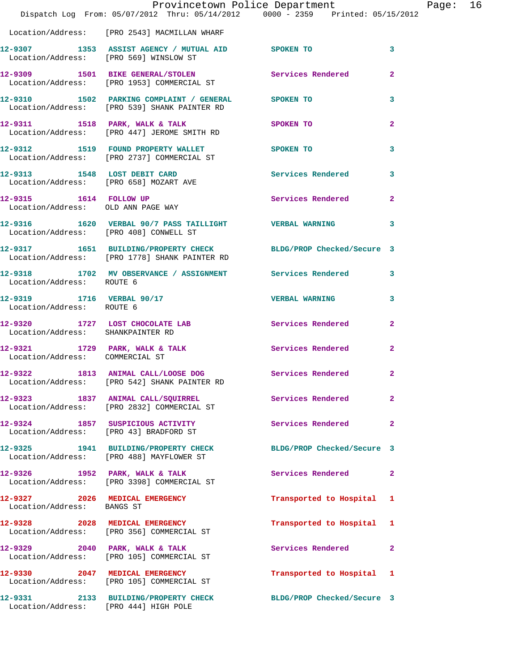|                                                        | Dispatch Log From: 05/07/2012 Thru: 05/14/2012 0000 - 2359 Printed: 05/15/2012                                   | Provincetown Police Department Page: 16 |                         |  |
|--------------------------------------------------------|------------------------------------------------------------------------------------------------------------------|-----------------------------------------|-------------------------|--|
|                                                        | Location/Address: [PRO 2543] MACMILLAN WHARF                                                                     |                                         |                         |  |
| Location/Address: [PRO 569] WINSLOW ST                 | 12-9307 1353 ASSIST AGENCY / MUTUAL AID SPOKEN TO                                                                |                                         | $\mathbf{3}$            |  |
|                                                        | 12-9309 1501 BIKE GENERAL/STOLEN Services Rendered 2<br>Location/Address: [PRO 1953] COMMERCIAL ST               |                                         |                         |  |
|                                                        | 12-9310 1502 PARKING COMPLAINT / GENERAL SPOKEN TO<br>Location/Address: [PRO 539] SHANK PAINTER RD               |                                         | 3                       |  |
|                                                        | 12-9311 1518 PARK, WALK & TALK 3POKEN TO<br>Location/Address: [PRO 447] JEROME SMITH RD                          |                                         | $\overline{2}$          |  |
|                                                        | 12-9312 1519 FOUND PROPERTY WALLET SPOKEN TO<br>Location/Address: [PRO 2737] COMMERCIAL ST                       |                                         | $\overline{\mathbf{3}}$ |  |
|                                                        | 12-9313 1548 LOST DEBIT CARD<br>Location/Address: [PRO 658] MOZART AVE                                           | Services Rendered 3                     |                         |  |
| Location/Address: OLD ANN PAGE WAY                     | 12-9315 1614 FOLLOW UP                                                                                           | Services Rendered 2                     |                         |  |
|                                                        | 12-9316 1620 VERBAL 90/7 PASS TAILLIGHT VERBAL WARNING 3<br>Location/Address: [PRO 408] CONWELL ST               |                                         |                         |  |
|                                                        | 12-9317 1651 BUILDING/PROPERTY CHECK BLDG/PROP Checked/Secure 3<br>Location/Address: [PRO 1778] SHANK PAINTER RD |                                         |                         |  |
| Location/Address: ROUTE 6                              | 12-9318 1702 MV OBSERVANCE / ASSIGNMENT Services Rendered 3                                                      |                                         |                         |  |
| 12-9319 1716 VERBAL 90/17<br>Location/Address: ROUTE 6 |                                                                                                                  | <b>VERBAL WARNING</b> 3                 |                         |  |
| Location/Address: SHANKPAINTER RD                      | 12-9320 1727 LOST CHOCOLATE LAB Services Rendered 2                                                              |                                         |                         |  |
| Location/Address: COMMERCIAL ST                        | 12-9321 1729 PARK, WALK & TALK Services Rendered                                                                 |                                         | $\mathbf{2}$            |  |
|                                                        | 12-9322 1813 ANIMAL CALL/LOOSE DOG Services Rendered 2<br>Location/Address: [PRO 542] SHANK PAINTER RD           |                                         |                         |  |
|                                                        | 12-9323 1837 ANIMAL CALL/SQUIRREL<br>Location/Address: [PRO 2832] COMMERCIAL ST                                  | Services Rendered                       | $\mathbf{2}$            |  |
|                                                        | 12-9324 1857 SUSPICIOUS ACTIVITY<br>Location/Address: [PRO 43] BRADFORD ST                                       | Services Rendered                       | $\mathbf{2}$            |  |
|                                                        | 12-9325 1941 BUILDING/PROPERTY CHECK BLDG/PROP Checked/Secure 3<br>Location/Address: [PRO 488] MAYFLOWER ST      |                                         |                         |  |
|                                                        | 12-9326 1952 PARK, WALK & TALK<br>Location/Address: [PRO 3398] COMMERCIAL ST                                     | Services Rendered 2                     |                         |  |
| Location/Address: BANGS ST                             | 12-9327 2026 MEDICAL EMERGENCY                                                                                   | Transported to Hospital 1               |                         |  |
|                                                        | 12-9328 2028 MEDICAL EMERGENCY<br>Location/Address: [PRO 356] COMMERCIAL ST                                      | Transported to Hospital 1               |                         |  |
|                                                        | 12-9329 2040 PARK, WALK & TALK<br>Location/Address: [PRO 105] COMMERCIAL ST                                      | Services Rendered 2                     |                         |  |
|                                                        | 12-9330 2047 MEDICAL EMERGENCY<br>Location/Address: [PRO 105] COMMERCIAL ST                                      | Transported to Hospital 1               |                         |  |
| Location/Address: [PRO 444] HIGH POLE                  | 12-9331 2133 BUILDING/PROPERTY CHECK BLDG/PROP Checked/Secure 3                                                  |                                         |                         |  |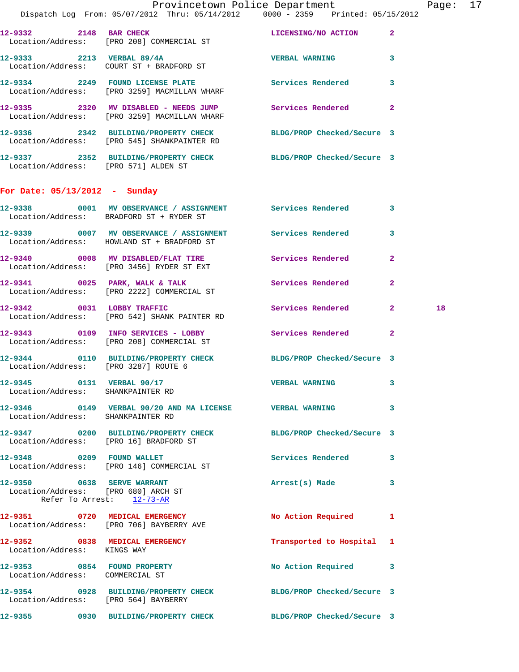|                                                                | Dispatch Log From: 05/07/2012 Thru: 05/14/2012   0000 - 2359   Printed: 05/15/2012                             |                           |                    |
|----------------------------------------------------------------|----------------------------------------------------------------------------------------------------------------|---------------------------|--------------------|
|                                                                | 12-9332 2148 BAR CHECK<br>Location/Address: [PRO 208] COMMERCIAL ST                                            | LICENSING/NO ACTION 2     |                    |
|                                                                | 12-9333 2213 VERBAL 89/4A<br>Location/Address: COURT ST + BRADFORD ST                                          | VERBAL WARNING 3          |                    |
|                                                                | 12-9334 2249 FOUND LICENSE PLATE<br>Location/Address: [PRO 3259] MACMILLAN WHARF                               | Services Rendered 3       |                    |
|                                                                | 12-9335 2320 MV DISABLED - NEEDS JUMP Services Rendered<br>Location/Address: [PRO 3259] MACMILLAN WHARF        |                           | $\mathbf{2}$       |
|                                                                | 12-9336 2342 BUILDING/PROPERTY CHECK BLDG/PROP Checked/Secure 3<br>Location/Address: [PRO 545] SHANKPAINTER RD |                           |                    |
| Location/Address: [PRO 571] ALDEN ST                           | 12-9337 2352 BUILDING/PROPERTY CHECK BLDG/PROP Checked/Secure 3                                                |                           |                    |
| For Date: $05/13/2012$ - Sunday                                |                                                                                                                |                           |                    |
|                                                                | 12-9338 0001 MV OBSERVANCE / ASSIGNMENT Services Rendered 3<br>Location/Address: BRADFORD ST + RYDER ST        |                           |                    |
|                                                                | 12-9339 6007 MV OBSERVANCE / ASSIGNMENT Services Rendered<br>Location/Address: HOWLAND ST + BRADFORD ST        |                           | $\mathbf{3}$       |
|                                                                | 12-9340 0008 MV DISABLED/FLAT TIRE Services Rendered<br>Location/Address: [PRO 3456] RYDER ST EXT              |                           | $\mathbf{2}$       |
|                                                                | 12-9341 0025 PARK, WALK & TALK Services Rendered<br>Location/Address: [PRO 2222] COMMERCIAL ST                 |                           | $\mathbf{2}$       |
|                                                                | 12-9342 0031 LOBBY TRAFFIC<br>Location/Address: [PRO 542] SHANK PAINTER RD                                     | Services Rendered         | 18<br>$\mathbf{2}$ |
|                                                                | 12-9343 0109 INFO SERVICES - LOBBY Services Rendered 2<br>Location/Address: [PRO 208] COMMERCIAL ST            |                           |                    |
| Location/Address: [PRO 3287] ROUTE 6                           | 12-9344 0110 BUILDING/PROPERTY CHECK BLDG/PROP Checked/Secure 3                                                |                           |                    |
| 12-9345 0131 VERBAL 90/17                                      | Location/Address: SHANKPAINTER RD                                                                              | <b>VERBAL WARNING</b>     | $\mathbf{3}$       |
| Location/Address: SHANKPAINTER RD                              | 12-9346  0149  VERBAL 90/20 AND MA LICENSE  VERBAL WARNING                                                     |                           | 3                  |
|                                                                | 12-9347 0200 BUILDING/PROPERTY CHECK BLDG/PROP Checked/Secure 3<br>Location/Address: [PRO 16] BRADFORD ST      |                           |                    |
|                                                                | 12-9348 0209 FOUND WALLET<br>Location/Address: [PRO 146] COMMERCIAL ST                                         | Services Rendered 3       |                    |
| 12-9350 0638 SERVE WARRANT                                     | Location/Address: [PRO 680] ARCH ST<br>Refer To Arrest: 12-73-AR                                               | Arrest(s) Made 3          |                    |
|                                                                | 12-9351 0720 MEDICAL EMERGENCY<br>Location/Address: [PRO 706] BAYBERRY AVE                                     | No Action Required        | 1                  |
| Location/Address: KINGS WAY                                    | 12-9352 0838 MEDICAL EMERGENCY                                                                                 | Transported to Hospital 1 |                    |
| 12-9353 0854 FOUND PROPERTY<br>Location/Address: COMMERCIAL ST |                                                                                                                | No Action Required 3      |                    |
|                                                                | 12-9354 0928 BUILDING/PROPERTY CHECK BLDG/PROP Checked/Secure 3<br>Location/Address: [PRO 564] BAYBERRY        |                           |                    |
|                                                                | 12-9355 0930 BUILDING/PROPERTY CHECK BLDG/PROP Checked/Secure 3                                                |                           |                    |
|                                                                |                                                                                                                |                           |                    |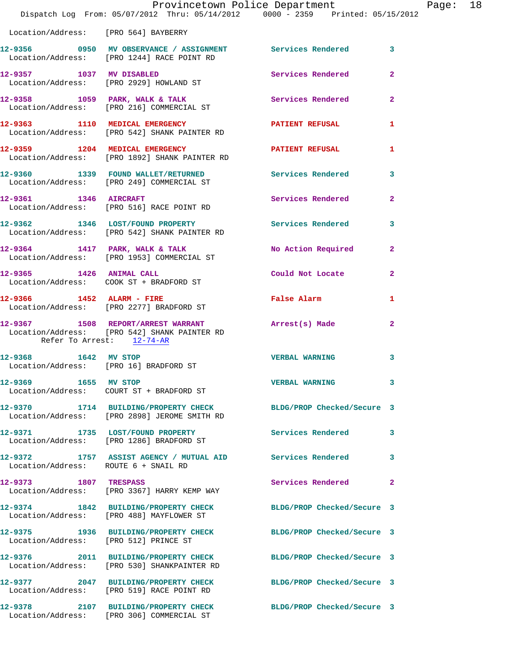|                                       | Dispatch Log From: 05/07/2012 Thru: 05/14/2012   0000 - 2359   Printed: 05/15/2012                              | Provincetown Police Department The Rage: 18 |              |  |
|---------------------------------------|-----------------------------------------------------------------------------------------------------------------|---------------------------------------------|--------------|--|
| Location/Address: [PRO 564] BAYBERRY  |                                                                                                                 |                                             |              |  |
|                                       | 12-9356 0950 MV OBSERVANCE / ASSIGNMENT Services Rendered 3<br>Location/Address: [PRO 1244] RACE POINT RD       |                                             |              |  |
|                                       | 12-9357 1037 MV DISABLED<br>Location/Address: [PRO 2929] HOWLAND ST                                             | Services Rendered 2                         |              |  |
|                                       | 12-9358 1059 PARK, WALK & TALK SERVICES Rendered 2<br>Location/Address: [PRO 216] COMMERCIAL ST                 |                                             |              |  |
|                                       | 12-9363 1110 MEDICAL EMERGENCY PATIENT REFUSAL 1<br>Location/Address: [PRO 542] SHANK PAINTER RD                |                                             |              |  |
|                                       | 12-9359 1204 MEDICAL EMERGENCY PATIENT REFUSAL<br>Location/Address: [PRO 1892] SHANK PAINTER RD                 |                                             | $\mathbf{1}$ |  |
|                                       | 12-9360 1339 FOUND WALLET/RETURNED Services Rendered 3<br>Location/Address: [PRO 249] COMMERCIAL ST             |                                             |              |  |
|                                       | 12-9361 1346 AIRCRAFT<br>Location/Address: [PRO 516] RACE POINT RD                                              | Services Rendered 2                         |              |  |
|                                       | 12-9362 1346 LOST/FOUND PROPERTY Services Rendered 3<br>Location/Address: [PRO 542] SHANK PAINTER RD            |                                             |              |  |
|                                       | 12-9364 1417 PARK, WALK & TALK<br>Location/Address: [PRO 1953] COMMERCIAL ST                                    | No Action Required 2                        |              |  |
|                                       | 12-9365 1426 ANIMAL CALL<br>Location/Address: COOK ST + BRADFORD ST                                             | Could Not Locate                            | $\mathbf{2}$ |  |
|                                       | 12-9366 1452 ALARM - FIRE<br>Location/Address: [PRO 2277] BRADFORD ST                                           | False Alarm <b>Example 2018</b>             | $\mathbf{1}$ |  |
| Refer To Arrest: 12-74-AR             | 12-9367 1508 REPORT/ARREST WARRANT Arrest(s) Made<br>Location/Address: [PRO 542] SHANK PAINTER RD               |                                             | $\mathbf{2}$ |  |
|                                       | 12-9368 1642 MV STOP<br>Location/Address: [PRO 16] BRADFORD ST                                                  | <b>VERBAL WARNING</b>                       | 3            |  |
| 12-9369 1655 MV STOP                  | Location/Address: COURT ST + BRADFORD ST                                                                        | <b>VERBAL WARNING</b>                       | 3            |  |
|                                       | 12-9370 1714 BUILDING/PROPERTY CHECK BLDG/PROP Checked/Secure 3<br>Location/Address: [PRO 2898] JEROME SMITH RD |                                             |              |  |
|                                       | 12-9371 1735 LOST/FOUND PROPERTY<br>Location/Address: [PRO 1286] BRADFORD ST                                    | Services Rendered                           | $\mathbf{3}$ |  |
| Location/Address: ROUTE 6 + SNAIL RD  | 12-9372 1757 ASSIST AGENCY / MUTUAL AID Services Rendered                                                       |                                             | 3            |  |
| 12-9373 1807 TRESPASS                 | Location/Address: [PRO 3367] HARRY KEMP WAY                                                                     | Services Rendered                           | $\mathbf{2}$ |  |
|                                       | 12-9374 1842 BUILDING/PROPERTY CHECK<br>Location/Address: [PRO 488] MAYFLOWER ST                                | BLDG/PROP Checked/Secure 3                  |              |  |
| Location/Address: [PRO 512] PRINCE ST | 12-9375 1936 BUILDING/PROPERTY CHECK BLDG/PROP Checked/Secure 3                                                 |                                             |              |  |
|                                       | 12-9376 2011 BUILDING/PROPERTY CHECK BLDG/PROP Checked/Secure 3<br>Location/Address: [PRO 530] SHANKPAINTER RD  |                                             |              |  |
|                                       | 12-9377 2047 BUILDING/PROPERTY CHECK<br>Location/Address: [PRO 519] RACE POINT RD                               | BLDG/PROP Checked/Secure 3                  |              |  |
| 12-9378                               | 2107 BUILDING/PROPERTY CHECK BLDG/PROP Checked/Secure 3<br>Location/Address: [PRO 306] COMMERCIAL ST            |                                             |              |  |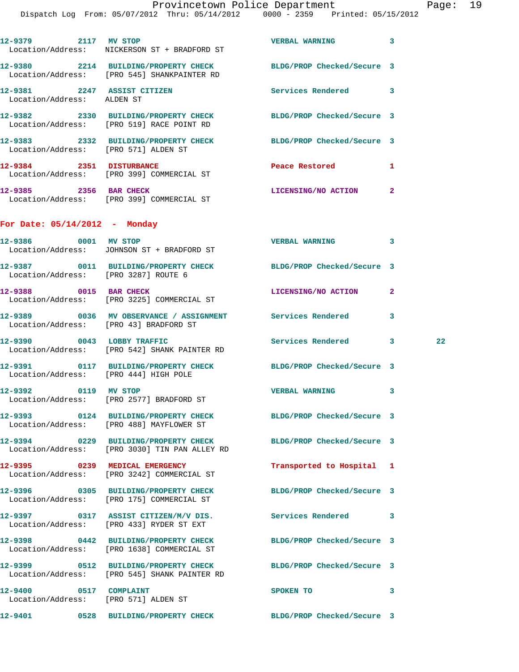| 12-9379 2117 MV STOP                                      |                                                                                                                  | <b>VERBAL WARNING</b>       | 3            |         |
|-----------------------------------------------------------|------------------------------------------------------------------------------------------------------------------|-----------------------------|--------------|---------|
|                                                           | Location/Address: NICKERSON ST + BRADFORD ST                                                                     |                             |              |         |
|                                                           | 12-9380 2214 BUILDING/PROPERTY CHECK BLDG/PROP Checked/Secure 3<br>Location/Address: [PRO 545] SHANKPAINTER RD   |                             |              |         |
| 12-9381 2247 ASSIST CITIZEN<br>Location/Address: ALDEN ST |                                                                                                                  | <b>Services Rendered</b> 3  |              |         |
|                                                           | 12-9382 2330 BUILDING/PROPERTY CHECK BLDG/PROP Checked/Secure 3<br>Location/Address: [PRO 519] RACE POINT RD     |                             |              |         |
| Location/Address: [PRO 571] ALDEN ST                      | 12-9383 2332 BUILDING/PROPERTY CHECK BLDG/PROP Checked/Secure 3                                                  |                             |              |         |
|                                                           | 12-9384 2351 DISTURBANCE<br>Location/Address: [PRO 399] COMMERCIAL ST                                            | Peace Restored <b>Seaps</b> | 1            |         |
|                                                           | 12-9385 2356 BAR CHECK<br>Location/Address: [PRO 399] COMMERCIAL ST                                              | LICENSING/NO ACTION 2       |              |         |
| For Date: $05/14/2012$ - Monday                           |                                                                                                                  |                             |              |         |
| 12-9386 0001 MV STOP                                      | Location/Address: JOHNSON ST + BRADFORD ST                                                                       | <b>VERBAL WARNING</b>       | 3            |         |
| Location/Address: [PRO 3287] ROUTE 6                      | 12-9387 0011 BUILDING/PROPERTY CHECK                                                                             | BLDG/PROP Checked/Secure 3  |              |         |
|                                                           | 12-9388 0015 BAR CHECK<br>Location/Address: [PRO 3225] COMMERCIAL ST                                             | LICENSING/NO ACTION         | $\mathbf{2}$ |         |
| Location/Address: [PRO 43] BRADFORD ST                    |                                                                                                                  |                             | 3            |         |
|                                                           | 12-9390 0043 LOBBY TRAFFIC<br>Location/Address: [PRO 542] SHANK PAINTER RD                                       | Services Rendered 3         |              | $22 \,$ |
| Location/Address: [PRO 444] HIGH POLE                     | 12-9391 0117 BUILDING/PROPERTY CHECK BLDG/PROP Checked/Secure 3                                                  |                             |              |         |
| 12-9392 0119 MV STOP                                      | Location/Address: [PRO 2577] BRADFORD ST                                                                         | VERBAL WARNING 3            |              |         |
|                                                           | 12-9393 0124 BUILDING/PROPERTY CHECK<br>Location/Address: [PRO 488] MAYFLOWER ST                                 | BLDG/PROP Checked/Secure 3  |              |         |
|                                                           | 12-9394 0229 BUILDING/PROPERTY CHECK BLDG/PROP Checked/Secure 3<br>Location/Address: [PRO 3030] TIN PAN ALLEY RD |                             |              |         |
|                                                           | 12-9395 0239 MEDICAL EMERGENCY<br>Location/Address: [PRO 3242] COMMERCIAL ST                                     | Transported to Hospital 1   |              |         |
|                                                           | 12-9396 0305 BUILDING/PROPERTY CHECK<br>Location/Address: [PRO 175] COMMERCIAL ST                                | BLDG/PROP Checked/Secure 3  |              |         |
|                                                           | 12-9397 0317 ASSIST CITIZEN/M/V DIS.<br>Location/Address: [PRO 433] RYDER ST EXT                                 | Services Rendered 3         |              |         |
|                                                           | 12-9398 0442 BUILDING/PROPERTY CHECK<br>Location/Address: [PRO 1638] COMMERCIAL ST                               | BLDG/PROP Checked/Secure 3  |              |         |
|                                                           | 12-9399 0512 BUILDING/PROPERTY CHECK BLDG/PROP Checked/Secure 3<br>Location/Address: [PRO 545] SHANK PAINTER RD  |                             |              |         |
| 12-9400 0517 COMPLAINT                                    | Location/Address: [PRO 571] ALDEN ST                                                                             | SPOKEN TO                   | 3            |         |
|                                                           |                                                                                                                  |                             |              |         |
|                                                           |                                                                                                                  |                             |              |         |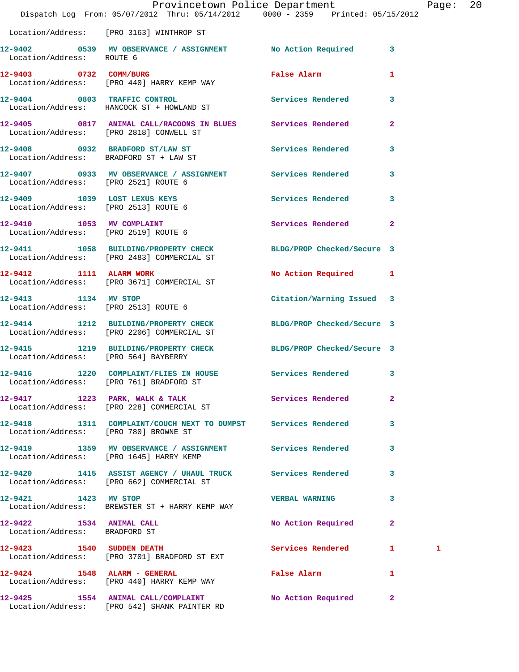|                                                           | Dispatch Log From: 05/07/2012 Thru: 05/14/2012 0000 - 2359 Printed: 05/15/2012                                | Provincetown Police Department                                                                                 |                         | Page: 20 |  |
|-----------------------------------------------------------|---------------------------------------------------------------------------------------------------------------|----------------------------------------------------------------------------------------------------------------|-------------------------|----------|--|
|                                                           | Location/Address: [PRO 3163] WINTHROP ST                                                                      |                                                                                                                |                         |          |  |
|                                                           | 12-9402 0539 MV OBSERVANCE / ASSIGNMENT No Action Required 3<br>Location/Address: ROUTE 6                     |                                                                                                                |                         |          |  |
|                                                           | 12-9403 0732 COMM/BURG<br>Location/Address: [PRO 440] HARRY KEMP WAY                                          | False Alarm and the state of the state of the state of the state of the state of the state of the state of the | $\mathbf{1}$            |          |  |
|                                                           | 12-9404 0803 TRAFFIC CONTROL<br>Location/Address: HANCOCK ST + HOWLAND ST                                     | <b>Services Rendered</b>                                                                                       | $\mathbf{3}$            |          |  |
|                                                           | 12-9405 0817 ANIMAL CALL/RACOONS IN BLUES Services Rendered<br>Location/Address: [PRO 2818] CONWELL ST        |                                                                                                                | $\overline{2}$          |          |  |
|                                                           | 12-9408 0932 BRADFORD ST/LAW ST Services Rendered 3<br>Location/Address: BRADFORD ST + LAW ST                 |                                                                                                                |                         |          |  |
| Location/Address: [PRO 2521] ROUTE 6                      | 12-9407 0933 MV OBSERVANCE / ASSIGNMENT Services Rendered 3                                                   |                                                                                                                |                         |          |  |
|                                                           | 12-9409 1039 LOST LEXUS KEYS<br>Location/Address: [PRO 2513] ROUTE 6                                          | Services Rendered 3                                                                                            |                         |          |  |
| Location/Address: [PRO 2519] ROUTE 6                      | 12-9410 1053 MV COMPLAINT                                                                                     | Services Rendered 2                                                                                            |                         |          |  |
|                                                           | 12-9411 1058 BUILDING/PROPERTY CHECK BLDG/PROP Checked/Secure 3<br>Location/Address: [PRO 2483] COMMERCIAL ST |                                                                                                                |                         |          |  |
|                                                           | 12-9412 1111 ALARM WORK<br>Location/Address: [PRO 3671] COMMERCIAL ST                                         | No Action Required 1                                                                                           |                         |          |  |
| 12-9413 1134 MV STOP                                      | Location/Address: [PRO 2513] ROUTE 6                                                                          | Citation/Warning Issued 3                                                                                      |                         |          |  |
|                                                           | 12-9414 1212 BUILDING/PROPERTY CHECK BLDG/PROP Checked/Secure 3<br>Location/Address: [PRO 2206] COMMERCIAL ST |                                                                                                                |                         |          |  |
|                                                           | 12-9415 1219 BUILDING/PROPERTY CHECK BLDG/PROP Checked/Secure 3<br>Location/Address: [PRO 564] BAYBERRY       |                                                                                                                |                         |          |  |
|                                                           | 12-9416 1220 COMPLAINT/FLIES IN HOUSE Services Rendered 3<br>Location/Address: [PRO 761] BRADFORD ST          |                                                                                                                |                         |          |  |
|                                                           | 12-9417 1223 PARK, WALK & TALK<br>Location/Address: [PRO 228] COMMERCIAL ST                                   | Services Rendered                                                                                              | $\mathbf{2}$            |          |  |
| Location/Address: [PRO 780] BROWNE ST                     | 12-9418 1311 COMPLAINT/COUCH NEXT TO DUMPST Services Rendered                                                 |                                                                                                                | $\overline{\mathbf{3}}$ |          |  |
|                                                           | 12-9419 1359 MV OBSERVANCE / ASSIGNMENT Services Rendered 3<br>Location/Address: [PRO 1645] HARRY KEMP        |                                                                                                                |                         |          |  |
|                                                           | 12-9420 1415 ASSIST AGENCY / UHAUL TRUCK Services Rendered<br>Location/Address: [PRO 662] COMMERCIAL ST       |                                                                                                                | 3                       |          |  |
| 12-9421 1423 MV STOP                                      | Location/Address: BREWSTER ST + HARRY KEMP WAY                                                                | VERBAL WARNING 3                                                                                               |                         |          |  |
| 12-9422 1534 ANIMAL CALL<br>Location/Address: BRADFORD ST |                                                                                                               | No Action Required                                                                                             | $\mathbf{2}$            |          |  |
|                                                           | 12-9423 1540 SUDDEN DEATH<br>Location/Address: [PRO 3701] BRADFORD ST EXT                                     | Services Rendered 1                                                                                            |                         | 1        |  |
|                                                           | 12-9424 1548 ALARM - GENERAL<br>Location/Address: [PRO 440] HARRY KEMP WAY                                    | False Alarm <b>Exercise Service Service</b>                                                                    | ı                       |          |  |
|                                                           | 12-9425 1554 ANIMAL CALL/COMPLAINT No Action Required 2                                                       |                                                                                                                |                         |          |  |

Location/Address: [PRO 542] SHANK PAINTER RD